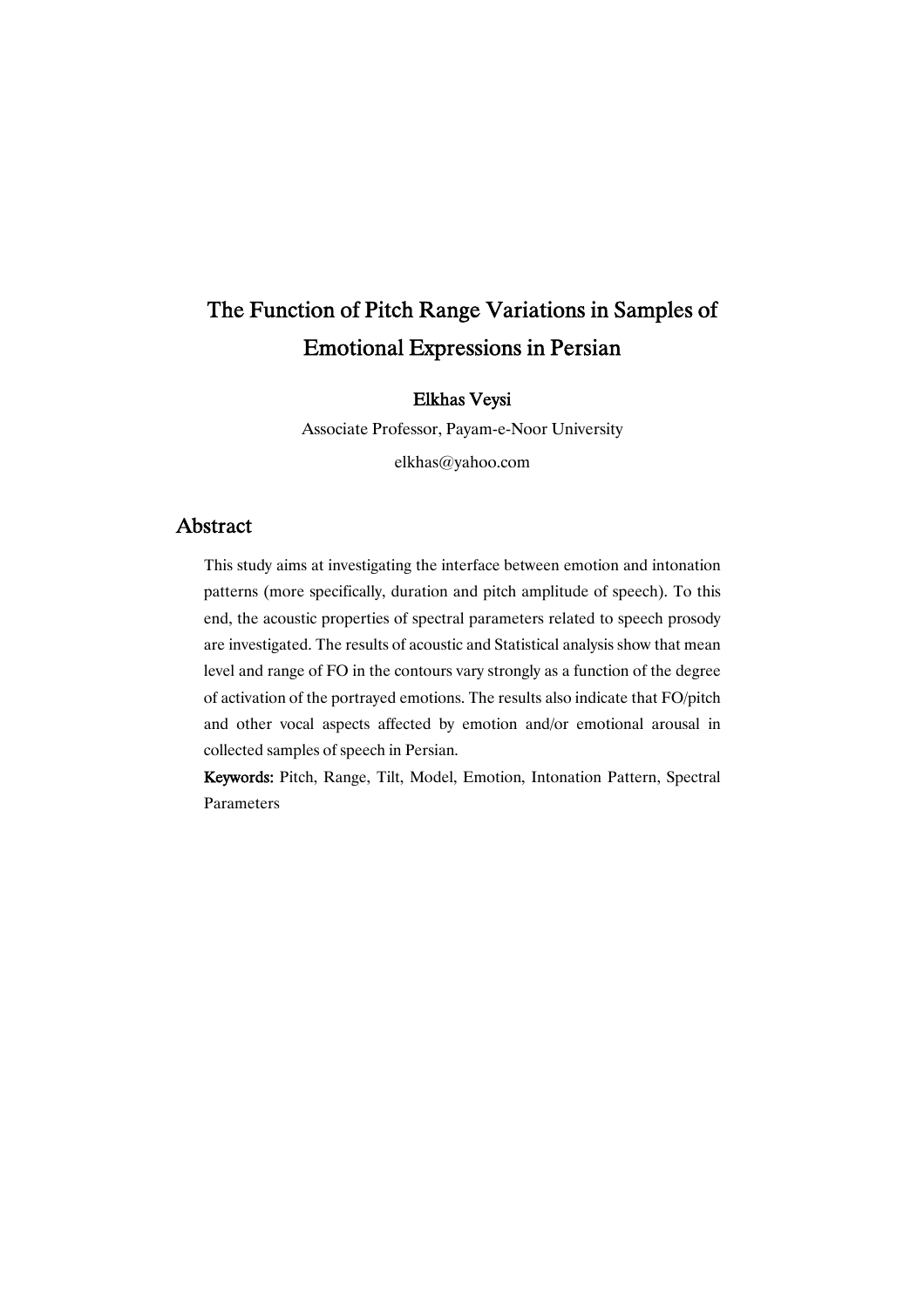# The Function of Pitch Range Variations in Samples of Emotional Expressions in Persian

### Elkhas Veysi

Associate Professor, Payam-e-Noor University elkhas@yahoo.com

## Abstract

This study aims at investigating the interface between emotion and intonation patterns (more specifically, duration and pitch amplitude of speech). To this end, the acoustic properties of spectral parameters related to speech prosody are investigated. The results of acoustic and Statistical analysis show that mean level and range of FO in the contours vary strongly as a function of the degree of activation of the portrayed emotions. The results also indicate that FO/pitch and other vocal aspects affected by emotion and/or emotional arousal in collected samples of speech in Persian.

Keywords: Pitch, Range, Tilt, Model, Emotion, Intonation Pattern, Spectral Parameters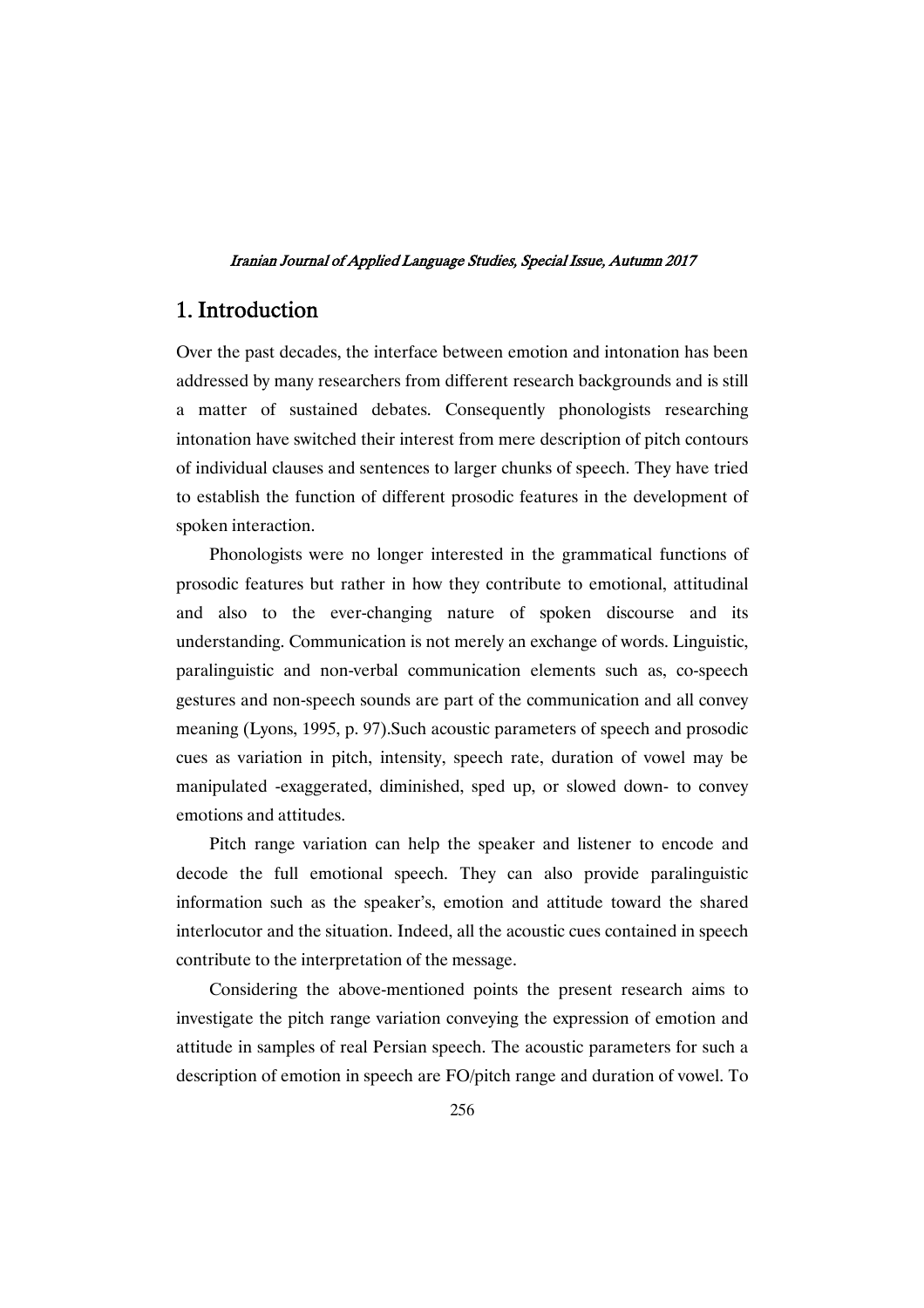# 1.Introduction

Over the past decades, the interface between emotion and intonation has been addressed by many researchers from different research backgrounds and is still a matter of sustained debates. Consequently phonologists researching intonation have switched their interest from mere description of pitch contours of individual clauses and sentences to larger chunks of speech. They have tried to establish the function of different prosodic features in the development of spoken interaction.

Phonologists were no longer interested in the grammatical functions of prosodic features but rather in how they contribute to emotional, attitudinal and also to the ever-changing nature of spoken discourse and its understanding. Communication is not merely an exchange of words. Linguistic, paralinguistic and non-verbal communication elements such as, co-speech gestures and non-speech sounds are part of the communication and all convey meaning (Lyons, 1995, p. 97).Such acoustic parameters of speech and prosodic cues as variation in pitch, intensity, speech rate, duration of vowel may be manipulated -exaggerated, diminished, sped up, or slowed down- to convey emotions and attitudes.

Pitch range variation can help the speaker and listener to encode and decode the full emotional speech. They can also provide paralinguistic information such as the speaker's, emotion and attitude toward the shared interlocutor and the situation. Indeed, all the acoustic cues contained in speech contribute to the interpretation of the message.

Considering the above-mentioned points the present research aims to investigate the pitch range variation conveying the expression of emotion and attitude in samples of real Persian speech. The acoustic parameters for such a description of emotion in speech are FO/pitch range and duration of vowel. To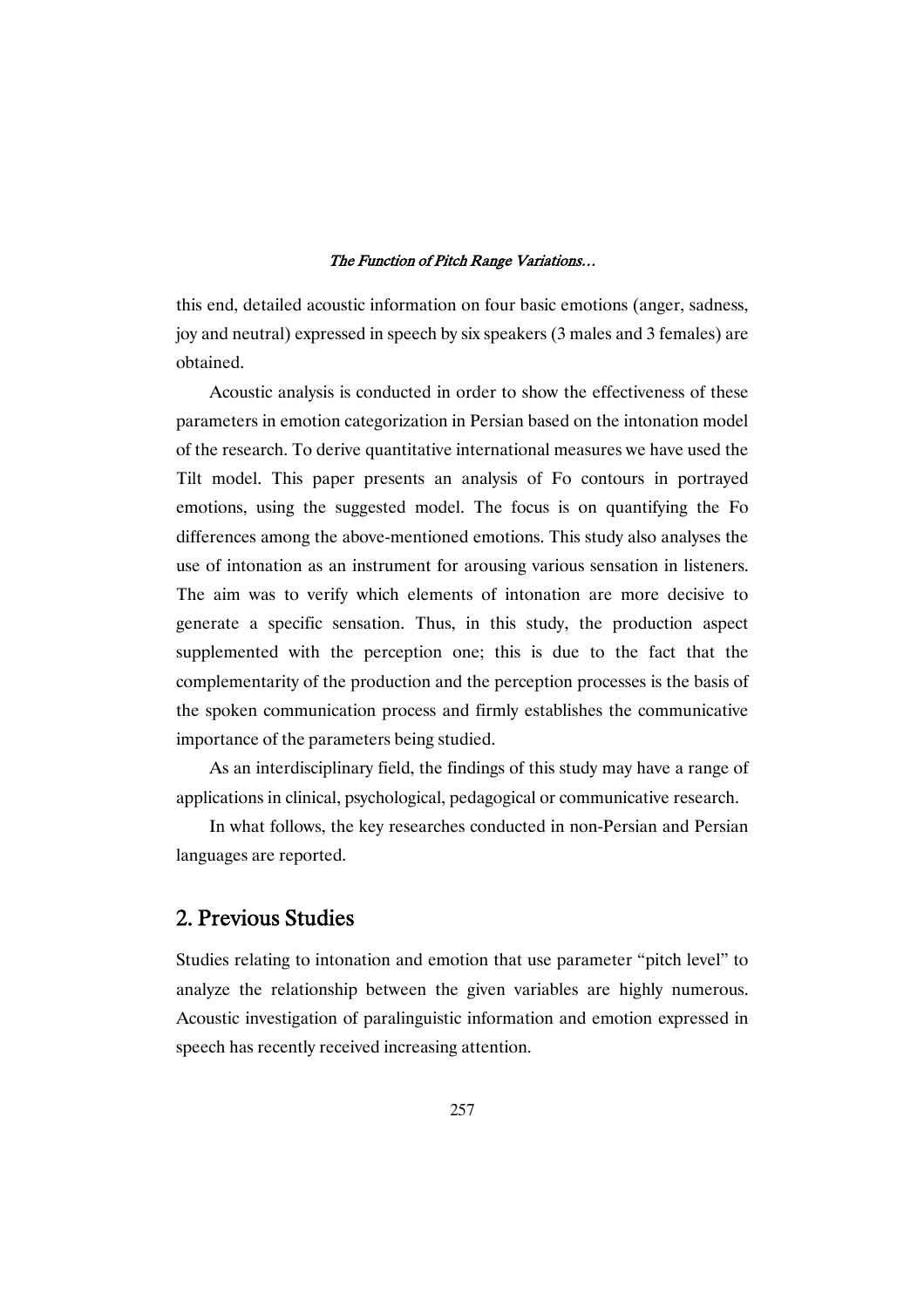this end, detailed acoustic information on four basic emotions (anger, sadness, joy and neutral) expressed in speech by six speakers (3 males and 3 females) are obtained.

Acoustic analysis is conducted in order to show the effectiveness of these parameters in emotion categorization in Persian based on the intonation model of the research. To derive quantitative international measures we have used the Tilt model. This paper presents an analysis of Fo contours in portrayed emotions, using the suggested model. The focus is on quantifying the Fo differences among the above-mentioned emotions. This study also analyses the use of intonation as an instrument for arousing various sensation in listeners. The aim was to verify which elements of intonation are more decisive to generate a specific sensation. Thus, in this study, the production aspect supplemented with the perception one; this is due to the fact that the complementarity of the production and the perception processes is the basis of the spoken communication process and firmly establishes the communicative importance of the parameters being studied.

As an interdisciplinary field, the findings of this study may have a range of applications in clinical, psychological, pedagogical or communicative research.

In what follows, the key researches conducted in non-Persian and Persian languages are reported.

# 2. Previous Studies

Studies relating to intonation and emotion that use parameter "pitch level" to analyze the relationship between the given variables are highly numerous. Acoustic investigation of paralinguistic information and emotion expressed in speech has recently received increasing attention.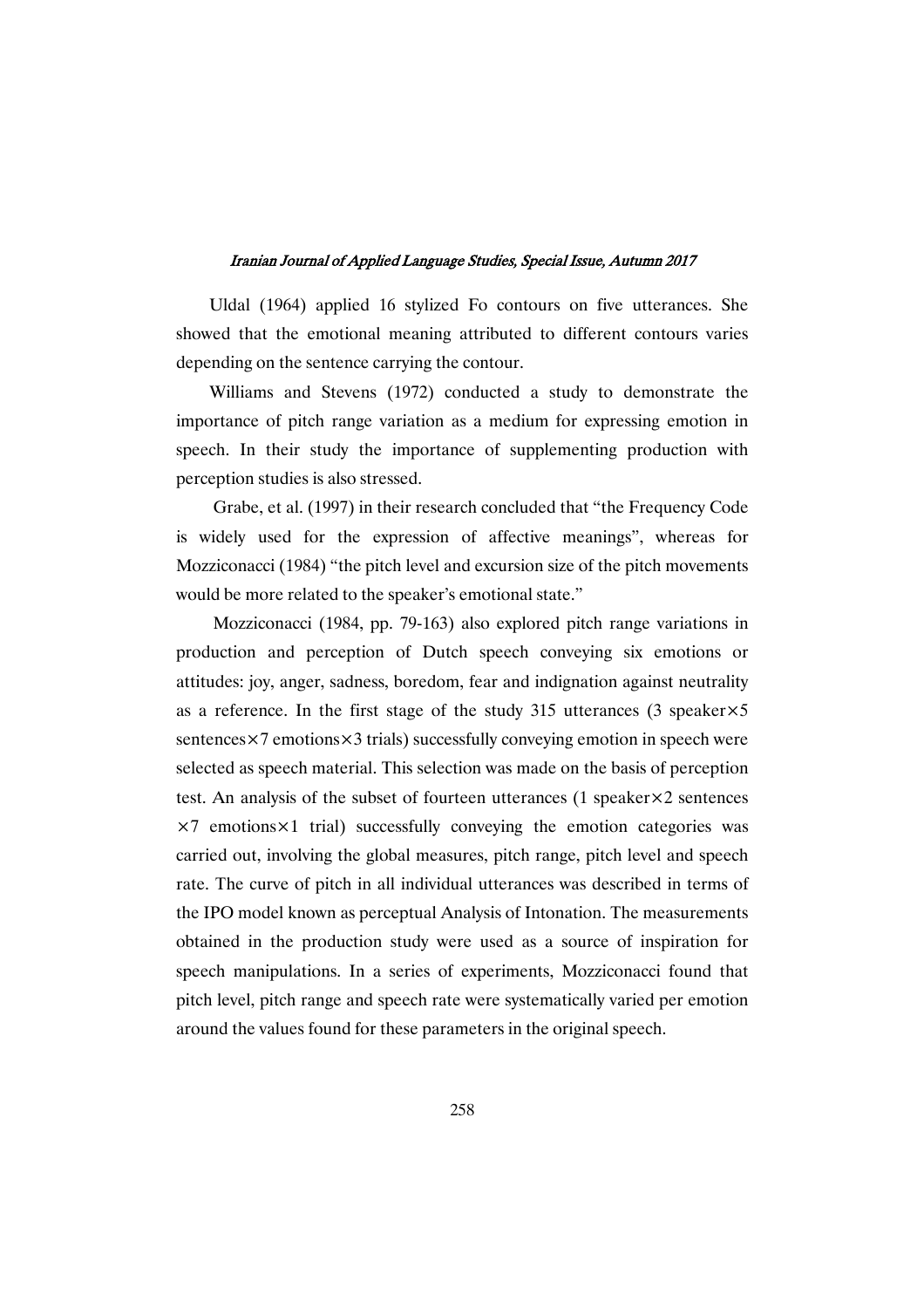Uldal (1964) applied 16 stylized Fo contours on five utterances. She showed that the emotional meaning attributed to different contours varies depending on the sentence carrying the contour.

Williams and Stevens (1972) conducted a study to demonstrate the importance of pitch range variation as a medium for expressing emotion in speech. In their study the importance of supplementing production with perception studies is also stressed.

Grabe, et al. (1997) in their research concluded that "the Frequency Code is widely used for the expression of affective meanings", whereas for Mozziconacci (1984) "the pitch level and excursion size of the pitch movements would be more related to the speaker's emotional state."

Mozziconacci (1984, pp. 79-163) also explored pitch range variations in production and perception of Dutch speech conveying six emotions or attitudes: joy, anger, sadness, boredom, fear and indignation against neutrality as a reference. In the first stage of the study 315 utterances (3 speaker $\times$ 5) sentences $\times$ 7 emotions $\times$ 3 trials) successfully conveying emotion in speech were selected as speech material. This selection was made on the basis of perception test. An analysis of the subset of fourteen utterances (1 speaker×2 sentences  $\times$ 7 emotions $\times$ 1 trial) successfully conveying the emotion categories was carried out, involving the global measures, pitch range, pitch level and speech rate. The curve of pitch in all individual utterances was described in terms of the IPO model known as perceptual Analysis of Intonation. The measurements obtained in the production study were used as a source of inspiration for speech manipulations. In a series of experiments, Mozziconacci found that pitch level, pitch range and speech rate were systematically varied per emotion around the values found for these parameters in the original speech.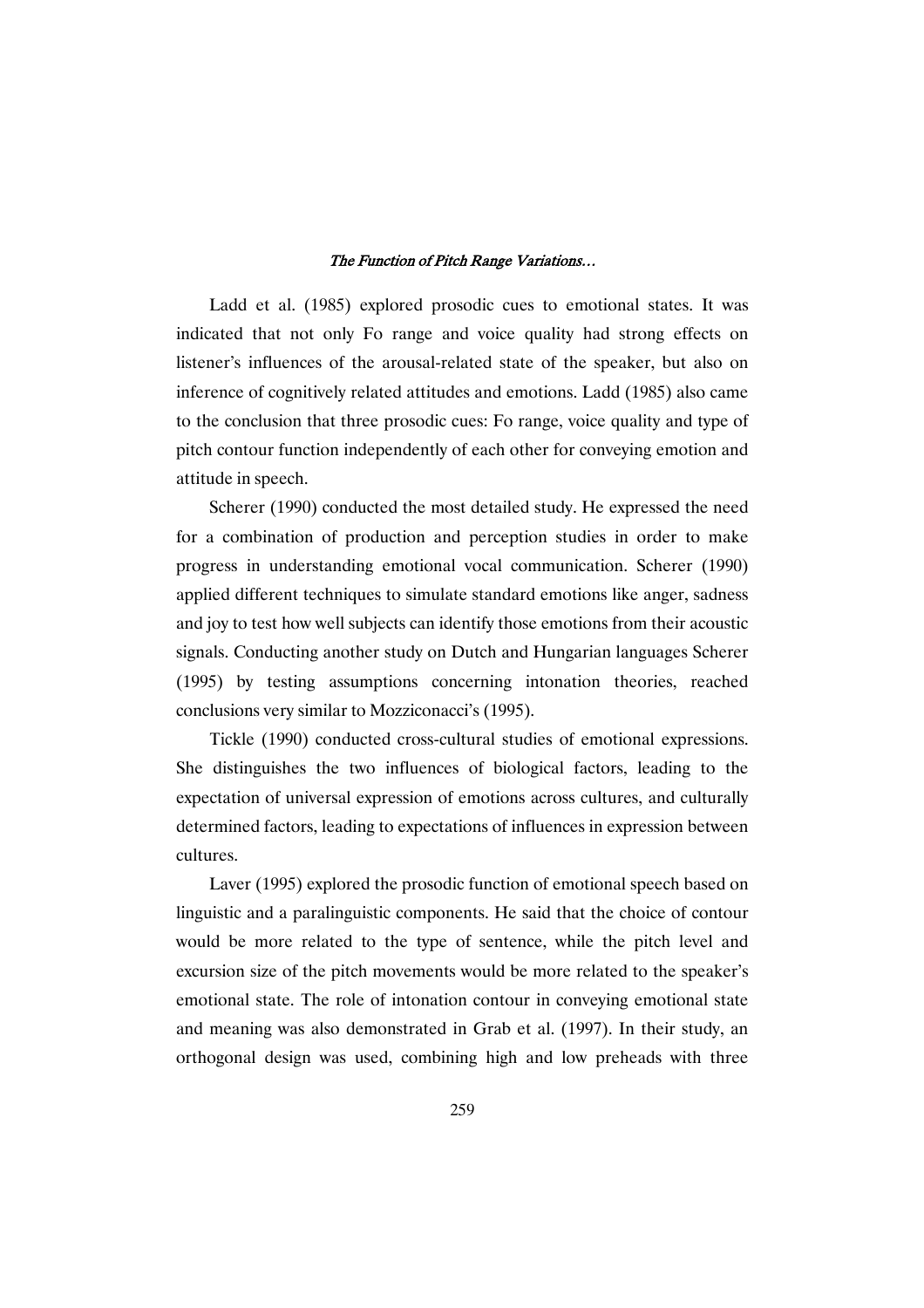Ladd et al. (1985) explored prosodic cues to emotional states. It was indicated that not only Fo range and voice quality had strong effects on listener's influences of the arousal-related state of the speaker, but also on inference of cognitively related attitudes and emotions. Ladd (1985) also came to the conclusion that three prosodic cues: Fo range, voice quality and type of pitch contour function independently of each other for conveying emotion and attitude in speech.

Scherer (1990) conducted the most detailed study. He expressed the need for a combination of production and perception studies in order to make progress in understanding emotional vocal communication. Scherer (1990) applied different techniques to simulate standard emotions like anger, sadness and joy to test how well subjects can identify those emotions from their acoustic signals. Conducting another study on Dutch and Hungarian languages Scherer (1995) by testing assumptions concerning intonation theories, reached conclusions very similar to Mozziconacci's (1995).

Tickle (1990) conducted cross-cultural studies of emotional expressions. She distinguishes the two influences of biological factors, leading to the expectation of universal expression of emotions across cultures, and culturally determined factors, leading to expectations of influences in expression between cultures.

Laver (1995) explored the prosodic function of emotional speech based on linguistic and a paralinguistic components. He said that the choice of contour would be more related to the type of sentence, while the pitch level and excursion size of the pitch movements would be more related to the speaker's emotional state. The role of intonation contour in conveying emotional state and meaning was also demonstrated in Grab et al. (1997). In their study, an orthogonal design was used, combining high and low preheads with three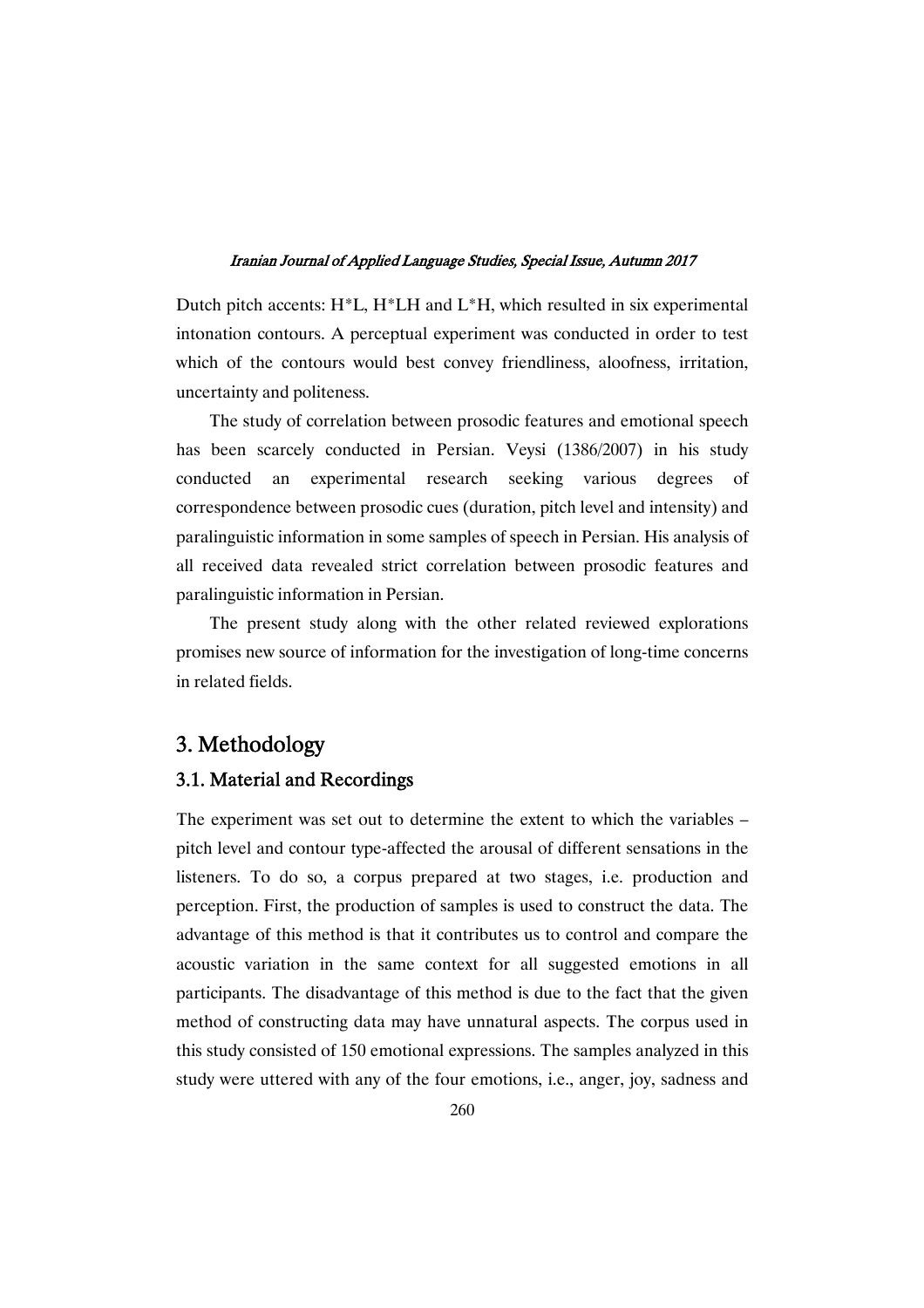Dutch pitch accents: H\*L, H\*LH and L\*H, which resulted in six experimental intonation contours. A perceptual experiment was conducted in order to test which of the contours would best convey friendliness, aloofness, irritation, uncertainty and politeness.

The study of correlation between prosodic features and emotional speech has been scarcely conducted in Persian. Veysi (1386/2007) in his study conducted an experimental research seeking various degrees of correspondence between prosodic cues (duration, pitch level and intensity) and paralinguistic information in some samples of speech in Persian. His analysis of all received data revealed strict correlation between prosodic features and paralinguistic information in Persian.

The present study along with the other related reviewed explorations promises new source of information for the investigation of long-time concerns in related fields.

# 3.Methodology

### 3.1. Material and Recordings

The experiment was set out to determine the extent to which the variables – pitch level and contour type-affected the arousal of different sensations in the listeners. To do so, a corpus prepared at two stages, i.e. production and perception. First, the production of samples is used to construct the data. The advantage of this method is that it contributes us to control and compare the acoustic variation in the same context for all suggested emotions in all participants. The disadvantage of this method is due to the fact that the given method of constructing data may have unnatural aspects. The corpus used in this study consisted of 150 emotional expressions. The samples analyzed in this study were uttered with any of the four emotions, i.e., anger, joy, sadness and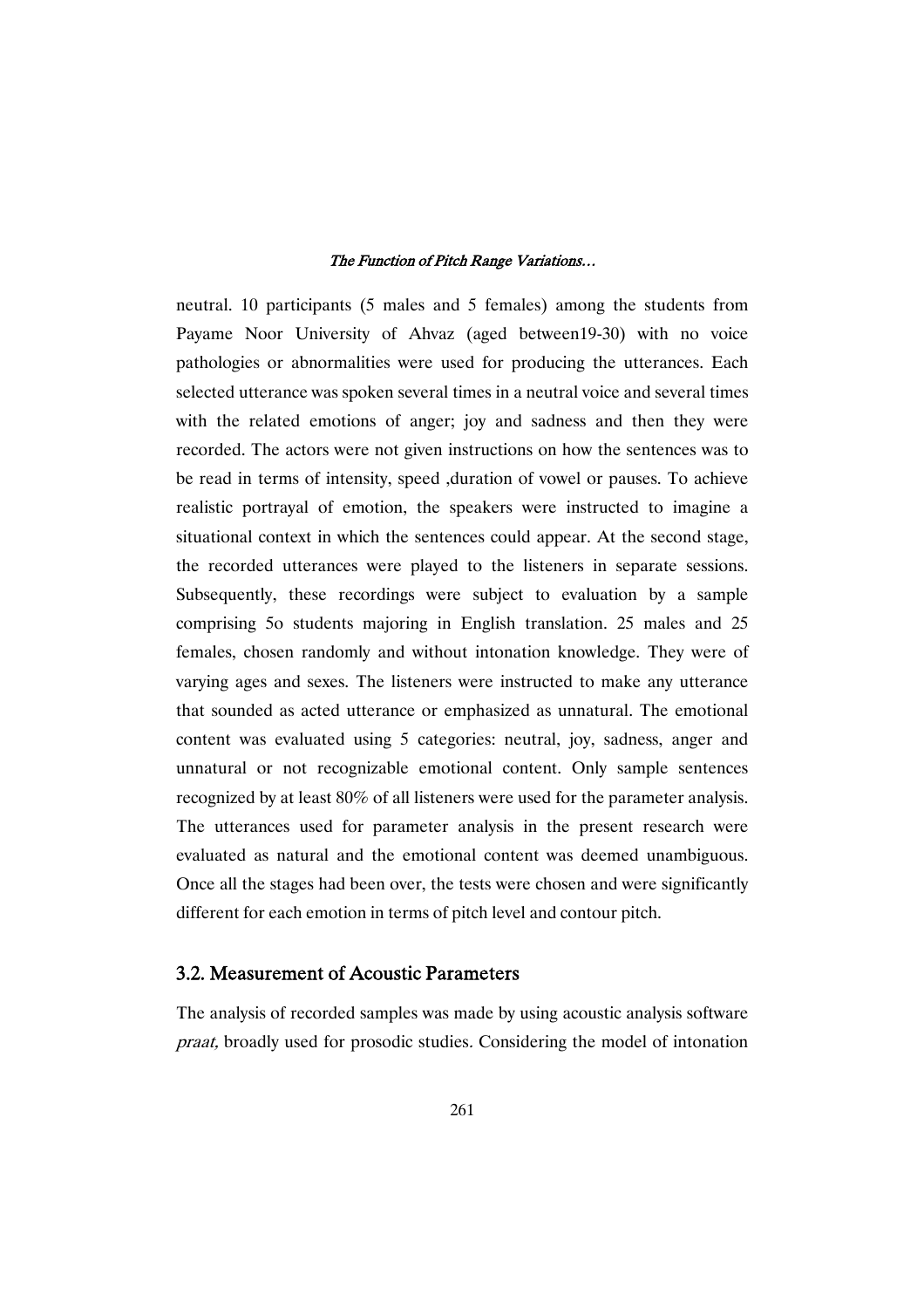neutral. 10 participants (5 males and 5 females) among the students from Payame Noor University of Ahvaz (aged between19-30) with no voice pathologies or abnormalities were used for producing the utterances. Each selected utterance was spoken several times in a neutral voice and several times with the related emotions of anger; joy and sadness and then they were recorded. The actors were not given instructions on how the sentences was to be read in terms of intensity, speed ,duration of vowel or pauses. To achieve realistic portrayal of emotion, the speakers were instructed to imagine a situational context in which the sentences could appear. At the second stage, the recorded utterances were played to the listeners in separate sessions. Subsequently, these recordings were subject to evaluation by a sample comprising 5o students majoring in English translation. 25 males and 25 females, chosen randomly and without intonation knowledge. They were of varying ages and sexes. The listeners were instructed to make any utterance that sounded as acted utterance or emphasized as unnatural. The emotional content was evaluated using 5 categories: neutral, joy, sadness, anger and unnatural or not recognizable emotional content. Only sample sentences recognized by at least 80% of all listeners were used for the parameter analysis. The utterances used for parameter analysis in the present research were evaluated as natural and the emotional content was deemed unambiguous. Once all the stages had been over, the tests were chosen and were significantly different for each emotion in terms of pitch level and contour pitch.

### 3.2. Measurement of Acoustic Parameters

The analysis of recorded samples was made by using acoustic analysis software praat, broadly used for prosodic studies. Considering the model of intonation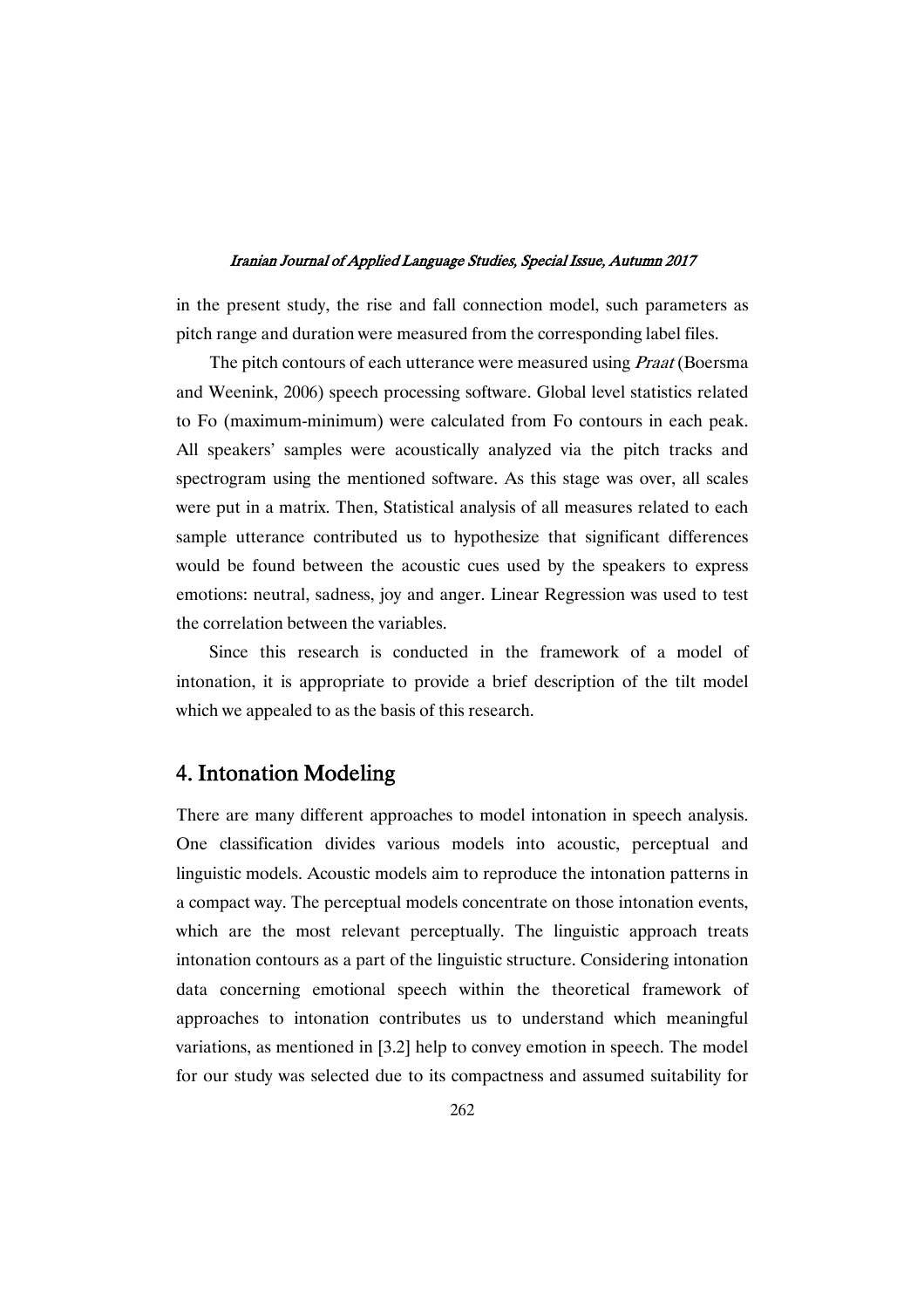in the present study, the rise and fall connection model, such parameters as pitch range and duration were measured from the corresponding label files.

The pitch contours of each utterance were measured using *Praat* (Boersma and Weenink, 2006) speech processing software. Global level statistics related to Fo (maximum-minimum) were calculated from Fo contours in each peak. All speakers' samples were acoustically analyzed via the pitch tracks and spectrogram using the mentioned software. As this stage was over, all scales were put in a matrix. Then, Statistical analysis of all measures related to each sample utterance contributed us to hypothesize that significant differences would be found between the acoustic cues used by the speakers to express emotions: neutral, sadness, joy and anger. Linear Regression was used to test the correlation between the variables.

Since this research is conducted in the framework of a model of intonation, it is appropriate to provide a brief description of the tilt model which we appealed to as the basis of this research.

# 4. Intonation Modeling

There are many different approaches to model intonation in speech analysis. One classification divides various models into acoustic, perceptual and linguistic models. Acoustic models aim to reproduce the intonation patterns in a compact way. The perceptual models concentrate on those intonation events, which are the most relevant perceptually. The linguistic approach treats intonation contours as a part of the linguistic structure. Considering intonation data concerning emotional speech within the theoretical framework of approaches to intonation contributes us to understand which meaningful variations, as mentioned in [3.2] help to convey emotion in speech. The model for our study was selected due to its compactness and assumed suitability for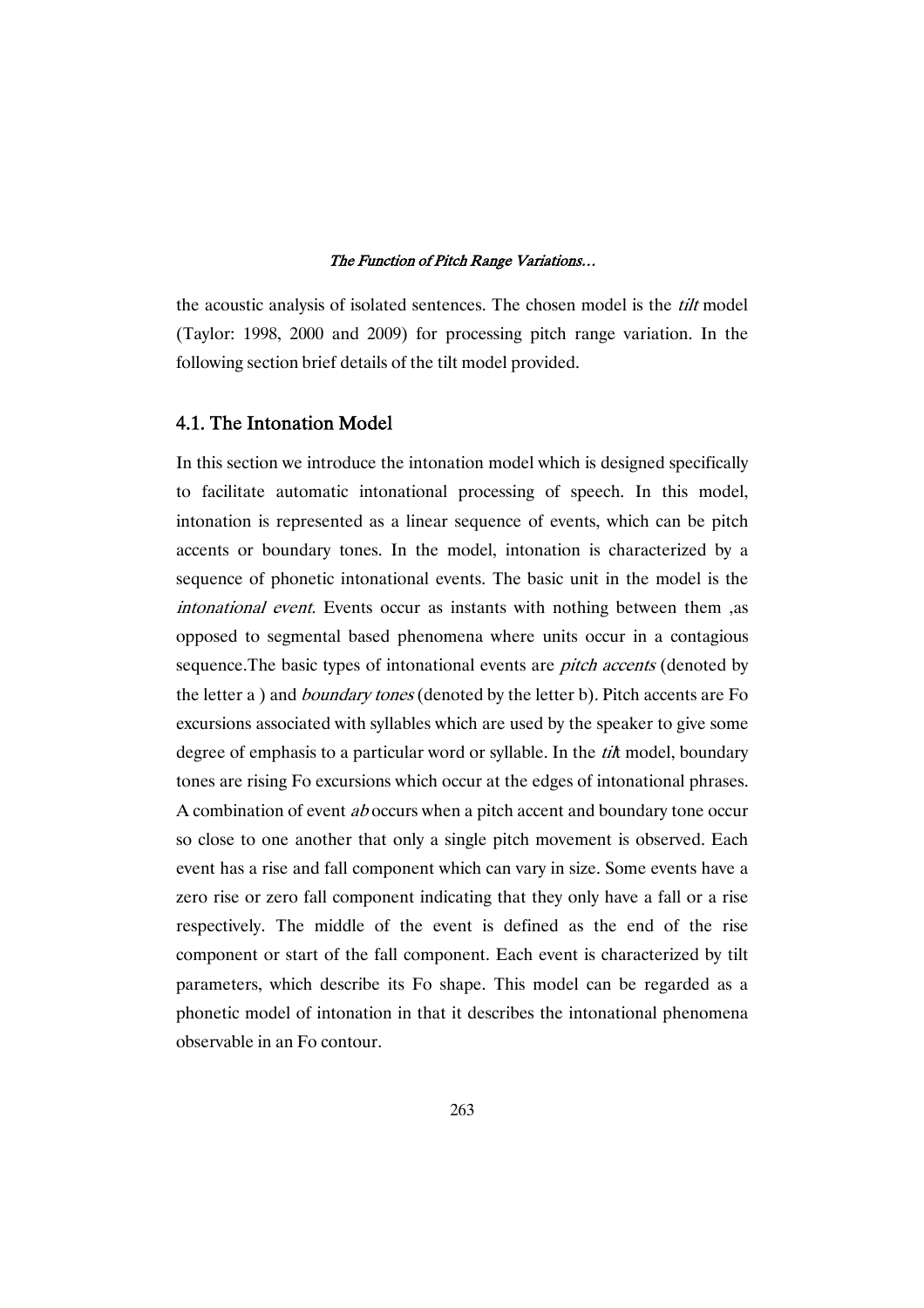the acoustic analysis of isolated sentences. The chosen model is the *tilt* model (Taylor: 1998, 2000 and 2009) for processing pitch range variation. In the following section brief details of the tilt model provided.

### 4.1. The Intonation Model

In this section we introduce the intonation model which is designed specifically to facilitate automatic intonational processing of speech. In this model, intonation is represented as a linear sequence of events, which can be pitch accents or boundary tones. In the model, intonation is characterized by a sequence of phonetic intonational events. The basic unit in the model is the intonational event. Events occur as instants with nothing between them ,as opposed to segmental based phenomena where units occur in a contagious sequence. The basic types of intonational events are *pitch accents* (denoted by the letter a ) and *boundary tones* (denoted by the letter b). Pitch accents are Fo excursions associated with syllables which are used by the speaker to give some degree of emphasis to a particular word or syllable. In the *til*t model, boundary tones are rising Fo excursions which occur at the edges of intonational phrases. A combination of event ab occurs when a pitch accent and boundary tone occur so close to one another that only a single pitch movement is observed. Each event has a rise and fall component which can vary in size. Some events have a zero rise or zero fall component indicating that they only have a fall or a rise respectively. The middle of the event is defined as the end of the rise component or start of the fall component. Each event is characterized by tilt parameters, which describe its Fo shape. This model can be regarded as a phonetic model of intonation in that it describes the intonational phenomena observable in an Fo contour.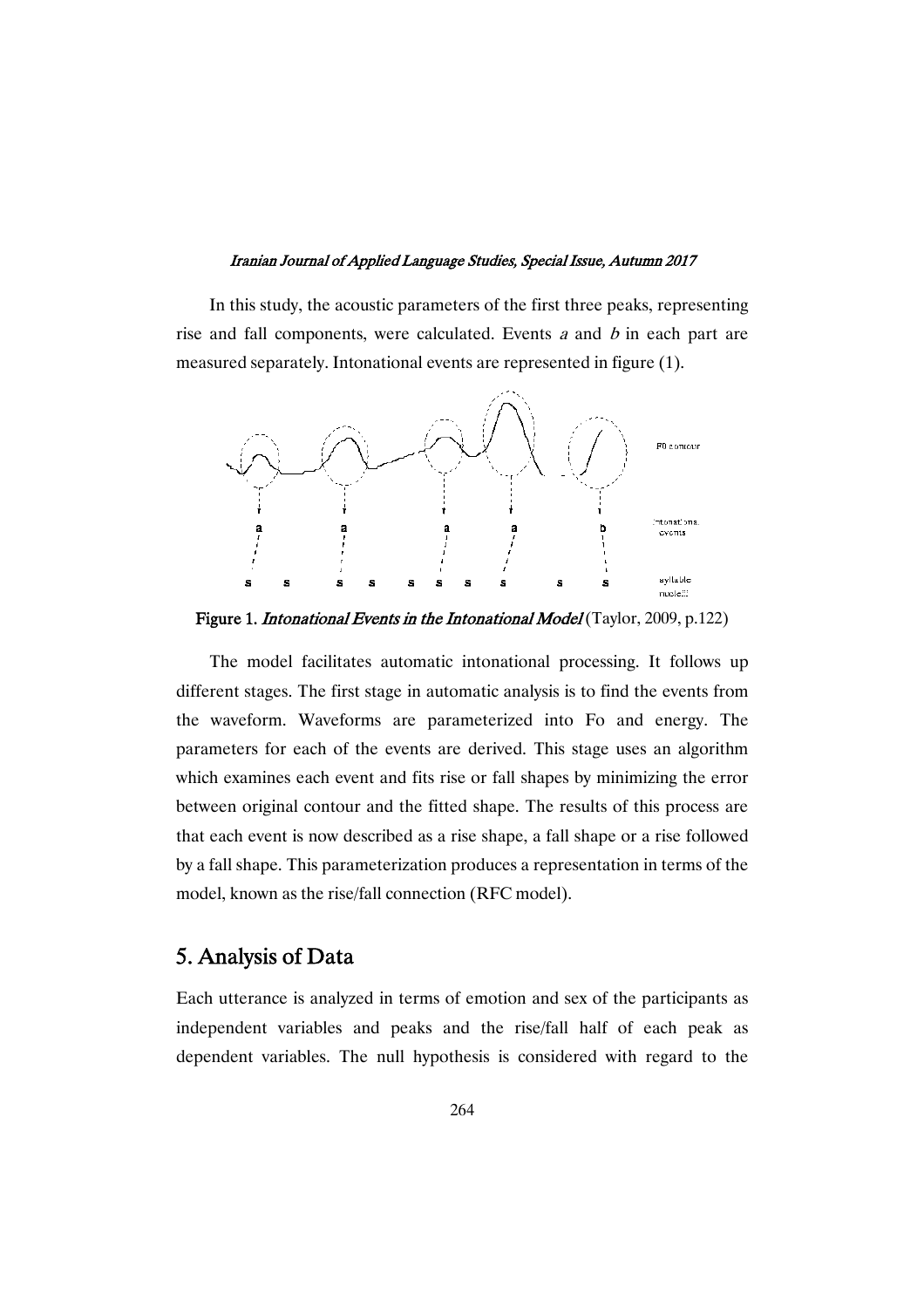In this study, the acoustic parameters of the first three peaks, representing rise and fall components, were calculated. Events  $a$  and  $b$  in each part are measured separately. Intonational events are represented in figure (1).



Figure 1. *Intonational Events in the Intonational Model* (Taylor, 2009, p.122)

The model facilitates automatic intonational processing. It follows up different stages. The first stage in automatic analysis is to find the events from the waveform. Waveforms are parameterized into Fo and energy. The parameters for each of the events are derived. This stage uses an algorithm which examines each event and fits rise or fall shapes by minimizing the error between original contour and the fitted shape. The results of this process are that each event is now described as a rise shape, a fall shape or a rise followed by a fall shape. This parameterization produces a representation in terms of the model, known as the rise/fall connection (RFC model).

# 5.AnalysisofData

Each utterance is analyzed in terms of emotion and sex of the participants as independent variables and peaks and the rise/fall half of each peak as dependent variables. The null hypothesis is considered with regard to the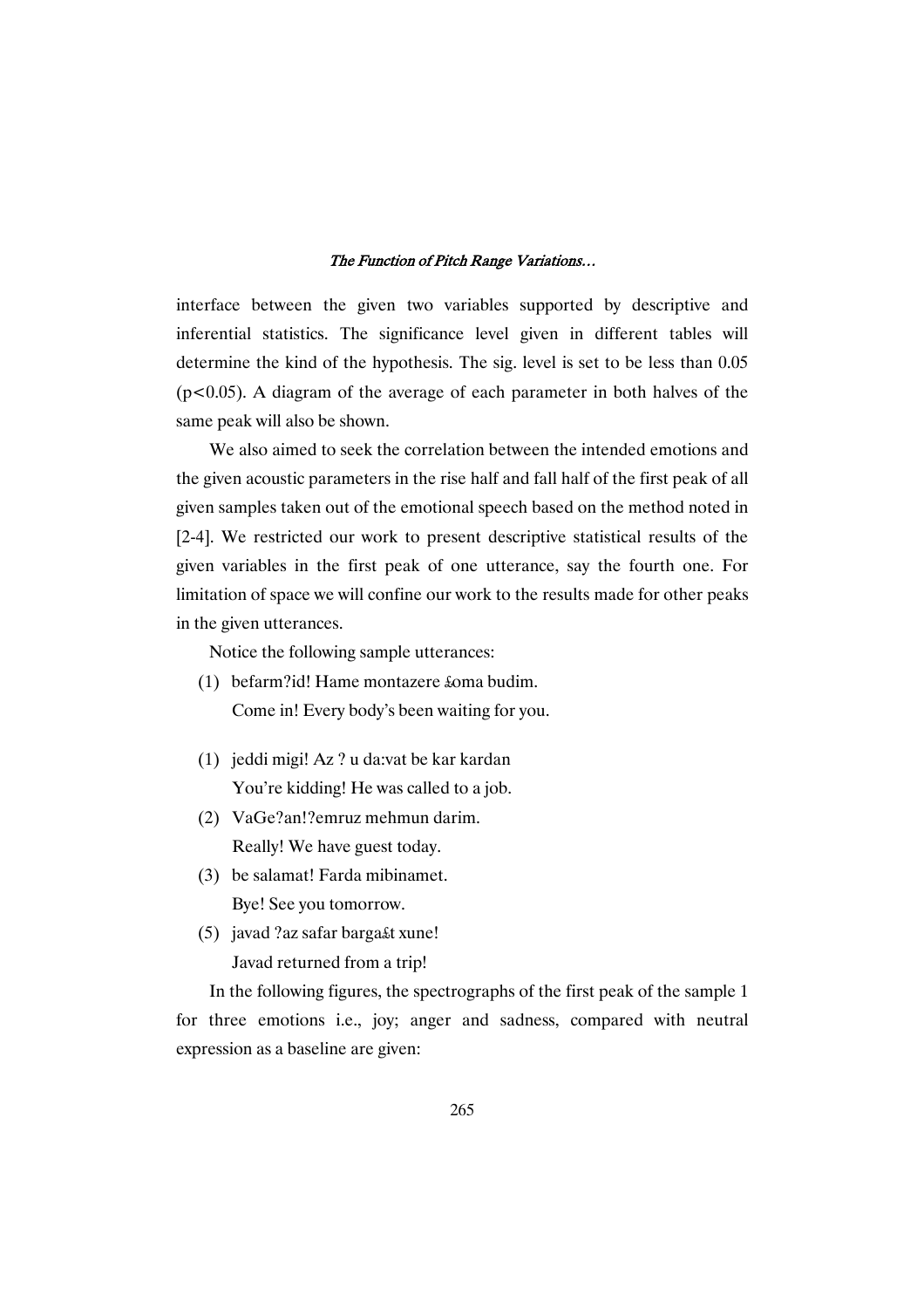interface between the given two variables supported by descriptive and inferential statistics. The significance level given in different tables will determine the kind of the hypothesis. The sig. level is set to be less than 0.05  $(p<0.05)$ . A diagram of the average of each parameter in both halves of the same peak will also be shown.

We also aimed to seek the correlation between the intended emotions and the given acoustic parameters in the rise half and fall half of the first peak of all given samples taken out of the emotional speech based on the method noted in [2-4]. We restricted our work to present descriptive statistical results of the given variables in the first peak of one utterance, say the fourth one. For limitation of space we will confine our work to the results made for other peaks in the given utterances.

Notice the following sample utterances:

- (1) befarm?id! Hame montazere £oma budim. Come in! Every body's been waiting for you.
- (1) jeddi migi! Az ? u da:vat be kar kardan You're kidding! He was called to a job.
- (2) VaGe?an!?emruz mehmun darim. Really! We have guest today.
- (3) be salamat! Farda mibinamet. Bye! See you tomorrow.
- (5) javad ?az safar barga£t xune! Javad returned from a trip!

In the following figures, the spectrographs of the first peak of the sample 1 for three emotions i.e., joy; anger and sadness, compared with neutral expression as a baseline are given: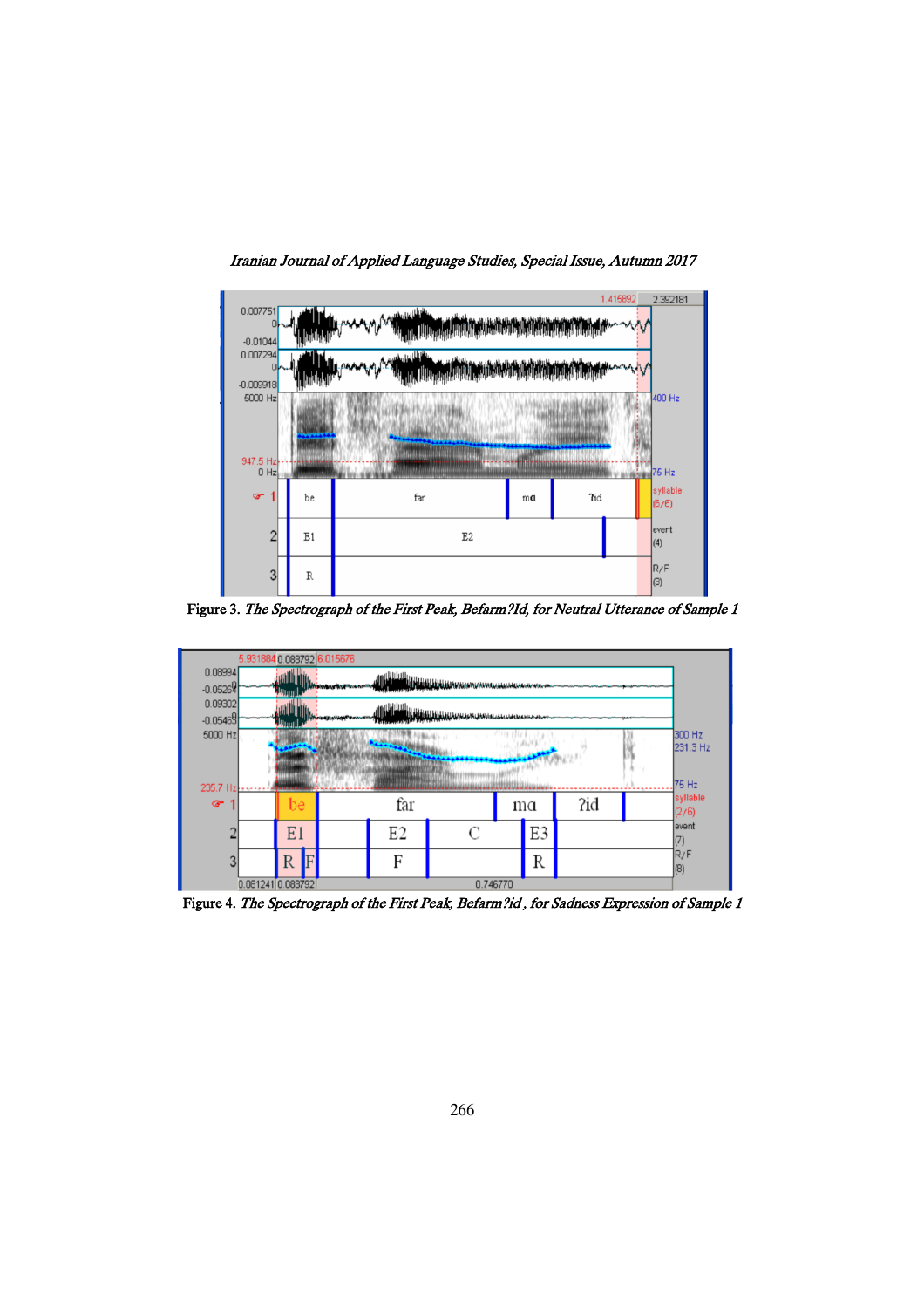

Iranian Journal of Applied Language Studies, Special Issue, Autumn 2017

Figure 3. The Spectrograph of the First Peak, Befarm?Id, for Neutral Utterance of Sample 1



Figure 4. The Spectrograph of the First Peak, Befarm?id, for Sadness Expression of Sample 1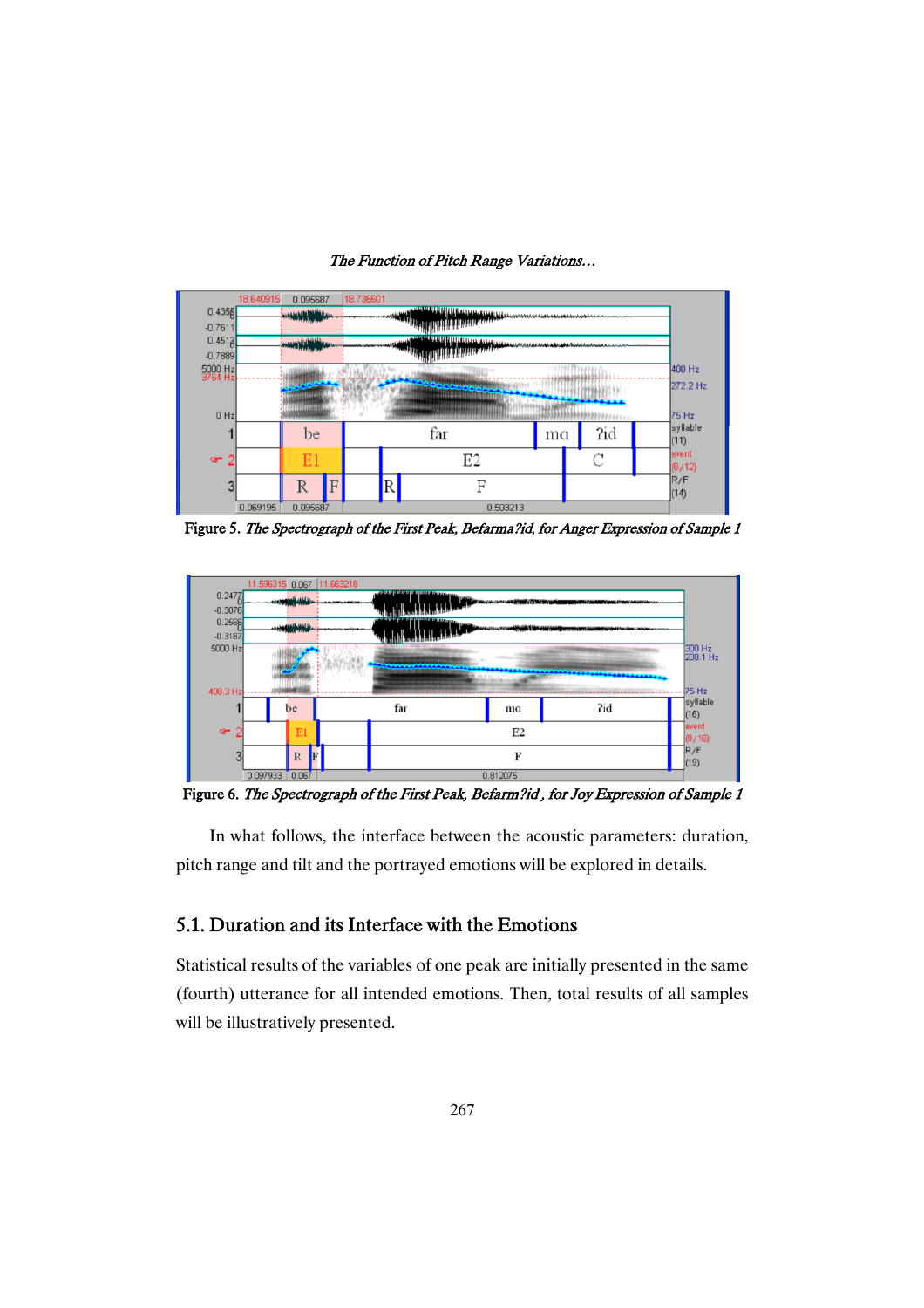

Figure 5. The Spectrograph of the First Peak, Befarma?id, for Anger Expression of Sample 1



Figure 6. The Spectrograph of the First Peak, Befarm?id, for Joy Expression of Sample 1

In what follows, the interface between the acoustic parameters: duration, pitch range and tilt and the portrayed emotions will be explored in details.

### 5.1. Duration and its Interface with the Emotions

Statistical results of the variables of one peak are initially presented in the same (fourth) utterance for all intended emotions. Then, total results of all samples will be illustratively presented.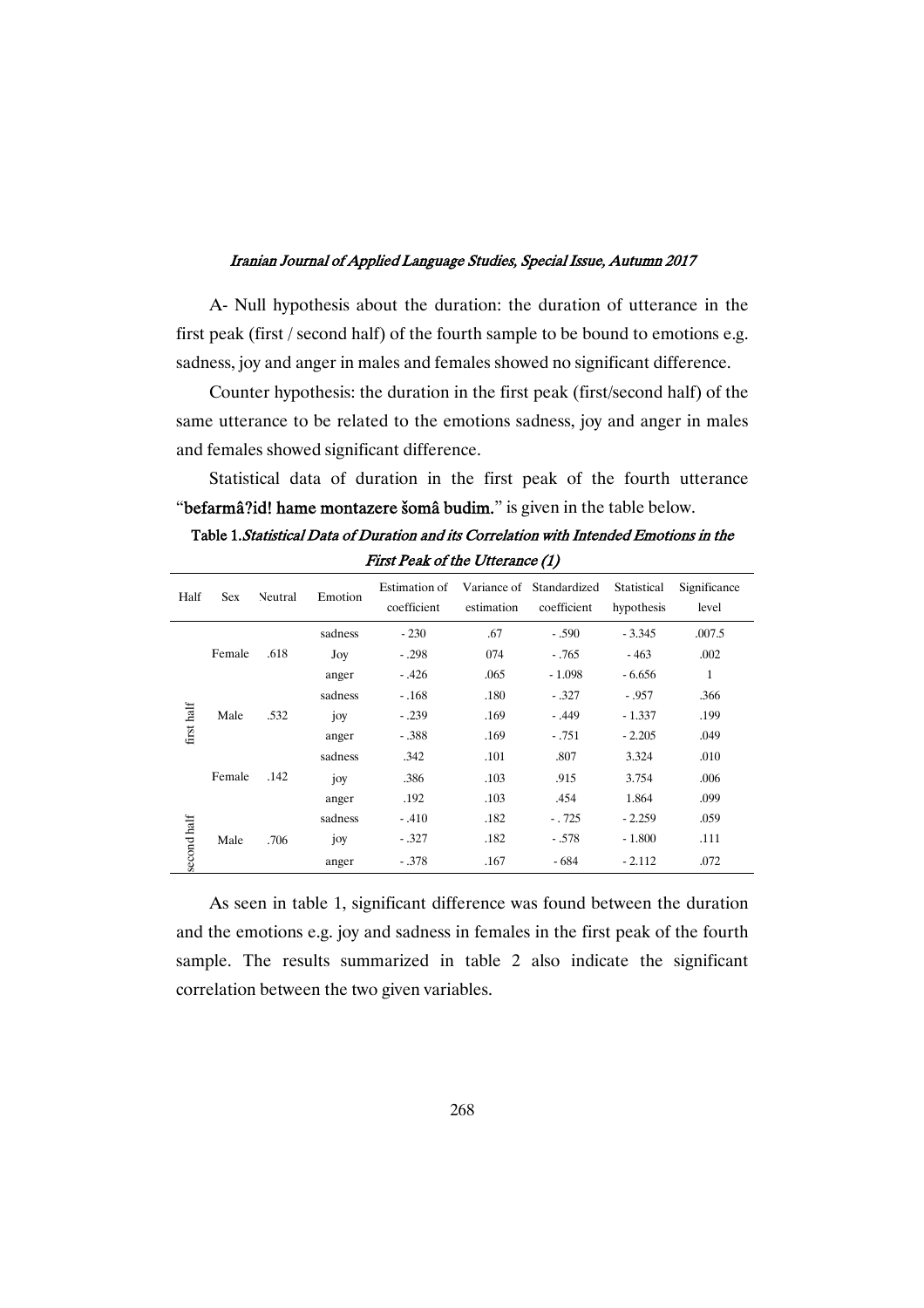A- Null hypothesis about the duration: the duration of utterance in the first peak (first / second half) of the fourth sample to be bound to emotions e.g. sadness, joy and anger in males and females showed no significant difference.

Counter hypothesis: the duration in the first peak (first/second half) of the same utterance to be related to the emotions sadness, joy and anger in males and females showed significant difference.

Statistical data of duration in the first peak of the fourth utterance "befarmâ?id! hame montazere šomâ budim." is given in the table below.

| Table 1. Statistical Data of Duration and its Correlation with Intended Emotions in the |
|-----------------------------------------------------------------------------------------|
| First Peak of the Utterance (1)                                                         |

| Half        | <b>Sex</b> | <b>Neutral</b> | Emotion | Estimation of<br>coefficient | estimation | Variance of Standardized<br>coefficient | Statistical<br>hypothesis | Significance<br>level |
|-------------|------------|----------------|---------|------------------------------|------------|-----------------------------------------|---------------------------|-----------------------|
|             |            |                | sadness | $-230$                       | .67        | $-.590$                                 | $-3.345$                  | .007.5                |
|             | Female     | .618           | Joy     | $-.298$                      | 074        | $-.765$                                 | $-463$                    | .002                  |
|             |            |                | anger   | $-.426$                      | .065       | $-1.098$                                | $-6.656$                  | 1                     |
|             | Male       |                | sadness | $-.168$                      | .180       | $-.327$                                 | $-.957$                   | .366                  |
|             |            | .532           | joy     | $-.239$                      | .169       | $-.449$                                 | $-1.337$                  | .199                  |
| first half  |            |                | anger   | $-.388$                      | .169       | $-.751$                                 | $-2.205$                  | .049                  |
|             | Female     | .142           | sadness | .342                         | .101       | .807                                    | 3.324                     | .010                  |
|             |            |                | joy     | .386                         | .103       | .915                                    | 3.754                     | .006                  |
|             |            |                | anger   | .192                         | .103       | .454                                    | 1.864                     | .099                  |
| second half |            | .706           | sadness | $-.410$                      | .182       | $-.725$                                 | $-2.259$                  | .059                  |
|             | Male       |                | joy     | $-.327$                      | .182       | $-.578$                                 | $-1.800$                  | .111                  |
|             |            |                | anger   | $-.378$                      | .167       | $-684$                                  | $-2.112$                  | .072                  |

As seen in table 1, significant difference was found between the duration and the emotions e.g. joy and sadness in females in the first peak of the fourth sample. The results summarized in table 2 also indicate the significant correlation between the two given variables.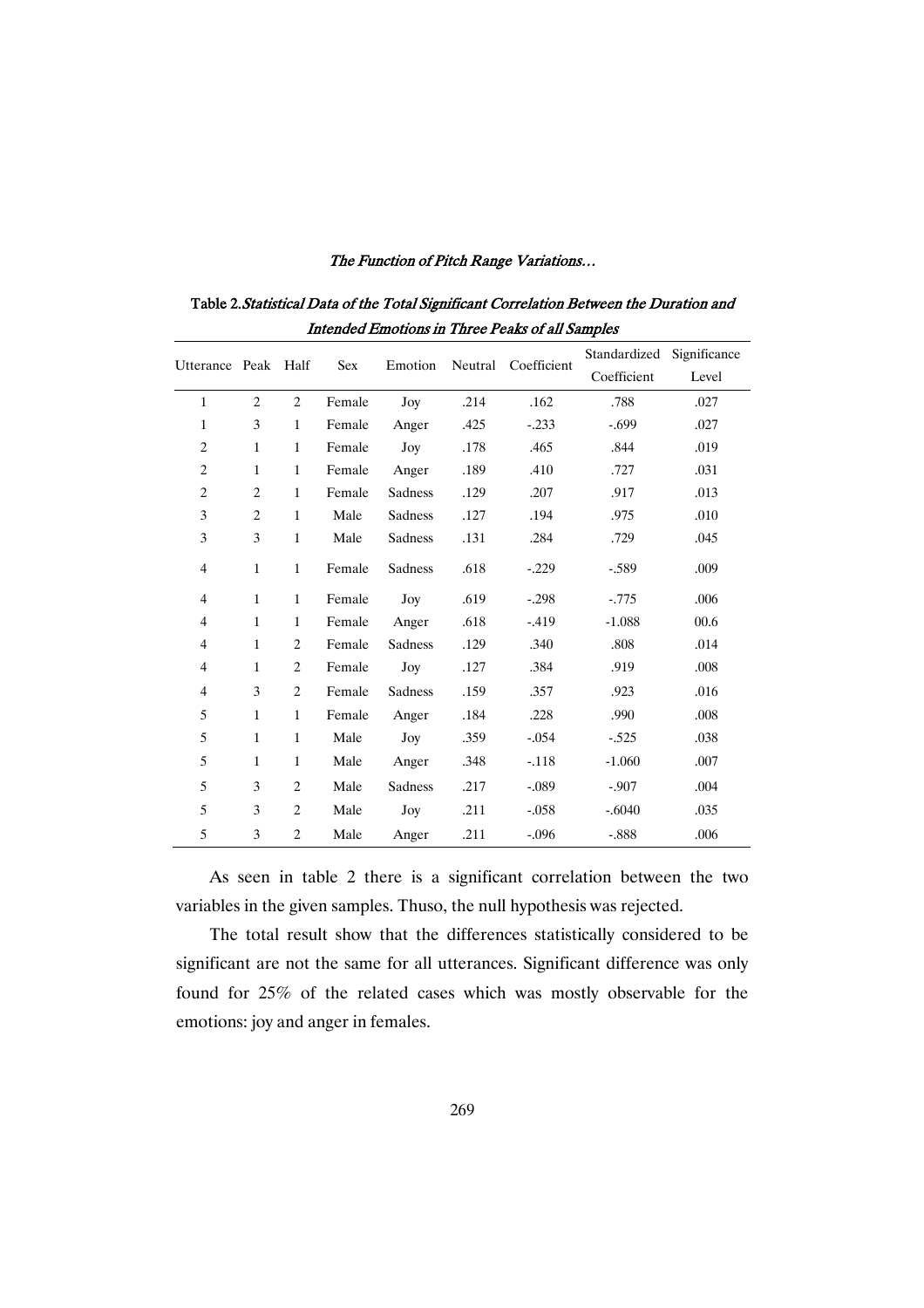|                          |                |                |            |         |         |             | Standardized | Significance |
|--------------------------|----------------|----------------|------------|---------|---------|-------------|--------------|--------------|
| Utterance Peak Half      |                |                | <b>Sex</b> | Emotion | Neutral | Coefficient | Coefficient  | Level        |
| $\mathbf{1}$             | $\overline{c}$ | $\overline{2}$ | Female     | Joy     | .214    | .162        | .788         | .027         |
| $\mathbf{1}$             | 3              | $\mathbf{1}$   | Female     | Anger   | .425    | $-.233$     | $-.699$      | .027         |
| $\overline{c}$           | $\mathbf{1}$   | $\mathbf{1}$   | Female     | Joy     | .178    | .465        | .844         | .019         |
| $\overline{c}$           | $\mathbf{1}$   | $\mathbf{1}$   | Female     | Anger   | .189    | .410        | .727         | .031         |
| $\overline{c}$           | $\overline{c}$ | $\mathbf{1}$   | Female     | Sadness | .129    | .207        | .917         | .013         |
| 3                        | $\overline{2}$ | $\mathbf{1}$   | Male       | Sadness | .127    | .194        | .975         | .010         |
| 3                        | 3              | $\mathbf{1}$   | Male       | Sadness | .131    | .284        | .729         | .045         |
| $\overline{4}$           | $\mathbf{1}$   | $\mathbf{1}$   | Female     | Sadness | .618    | $-.229$     | $-.589$      | .009         |
| $\overline{4}$           | $\mathbf{1}$   | $\mathbf{1}$   | Female     | Joy     | .619    | $-.298$     | $-.775$      | .006         |
| $\overline{\mathcal{L}}$ | $\mathbf{1}$   | $\mathbf{1}$   | Female     | Anger   | .618    | $-419$      | $-1.088$     | 00.6         |
| $\overline{4}$           | $\mathbf{1}$   | 2              | Female     | Sadness | .129    | .340        | .808         | .014         |
| $\overline{4}$           | $\mathbf{1}$   | $\overline{c}$ | Female     | Joy     | .127    | .384        | .919         | .008         |
| $\overline{4}$           | 3              | $\overline{c}$ | Female     | Sadness | .159    | .357        | .923         | .016         |
| 5                        | $\mathbf{1}$   | $\mathbf{1}$   | Female     | Anger   | .184    | .228        | .990         | .008         |
| 5                        | $\mathbf{1}$   | $\mathbf{1}$   | Male       | Joy     | .359    | $-.054$     | $-.525$      | .038         |
| 5                        | $\mathbf{1}$   | $\mathbf{1}$   | Male       | Anger   | .348    | $-.118$     | $-1.060$     | .007         |
| 5                        | 3              | $\overline{c}$ | Male       | Sadness | .217    | $-.089$     | $-.907$      | .004         |
| 5                        | 3              | $\overline{c}$ | Male       | Joy     | .211    | $-.058$     | $-.6040$     | .035         |
| 5                        | 3              | $\overline{c}$ | Male       | Anger   | .211    | $-.096$     | $-.888$      | .006         |

Table 2. Statistical Data of the Total Significant Correlation Between the Duration and Intended Emotions in Three Peaks of all Samples

As seen in table 2 there is a significant correlation between the two variables in the given samples. Thuso, the null hypothesis was rejected.

The total result show that the differences statistically considered to be significant are not the same for all utterances. Significant difference was only found for 25% of the related cases which was mostly observable for the emotions: joy and anger in females.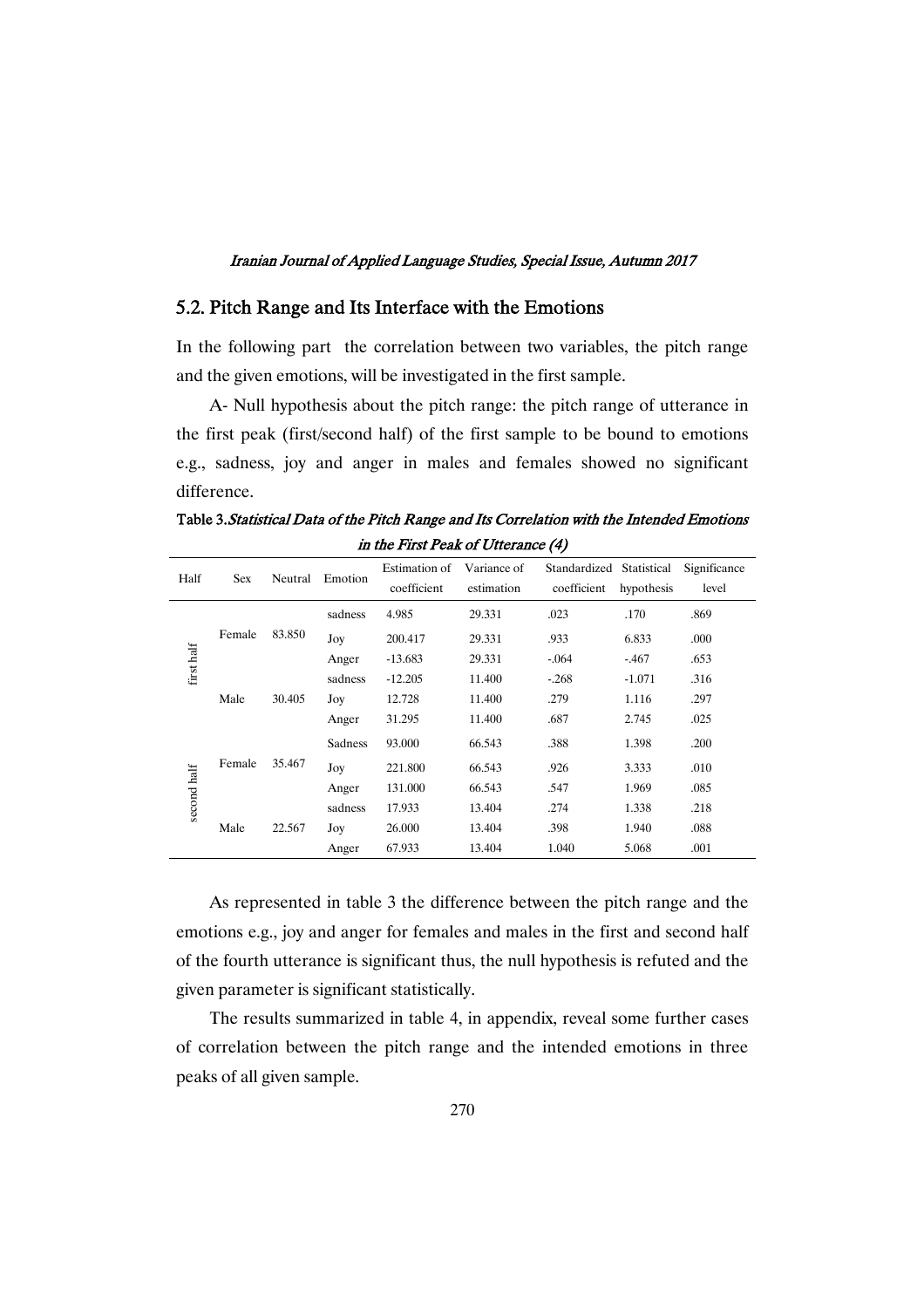### 5.2. Pitch Range and Its Interface with the Emotions

In the following part the correlation between two variables, the pitch range and the given emotions, will be investigated in the first sample.

A- Null hypothesis about the pitch range: the pitch range of utterance in the first peak (first/second half) of the first sample to be bound to emotions e.g., sadness, joy and anger in males and females showed no significant difference.

Table 3. Statistical Data of the Pitch Range and Its Correlation with the Intended Emotions in the First Peak of Utterance (4)

| Half        | <b>Sex</b> | Neutral | Emotion | Estimation of<br>coefficient | Variance of<br>estimation | Standardized Statistical<br>coefficient | hypothesis | Significance<br>level |
|-------------|------------|---------|---------|------------------------------|---------------------------|-----------------------------------------|------------|-----------------------|
|             |            |         | sadness | 4.985                        | 29.331                    | .023                                    | .170       | .869                  |
|             | Female     | 83.850  | Joy     | 200.417                      | 29.331                    | .933                                    | 6.833      | .000                  |
| first half  |            |         | Anger   | $-13.683$                    | 29.331                    | $-.064$                                 | $-.467$    | .653                  |
|             |            |         | sadness | $-12.205$                    | 11.400                    | $-.268$                                 | $-1.071$   | .316                  |
|             | Male       | 30.405  | Joy     | 12.728                       | 11.400                    | .279                                    | 1.116      | .297                  |
|             |            |         | Anger   | 31.295                       | 11.400                    | .687                                    | 2.745      | .025                  |
|             |            | 35.467  | Sadness | 93,000                       | 66.543                    | .388                                    | 1.398      | .200                  |
|             | Female     |         | Joy     | 221.800                      | 66.543                    | .926                                    | 3.333      | .010                  |
|             |            |         | Anger   | 131.000                      | 66.543                    | .547                                    | 1.969      | .085                  |
| second half |            |         | sadness | 17.933                       | 13.404                    | .274                                    | 1.338      | .218                  |
|             | Male       | 22.567  | Joy     | 26.000                       | 13.404                    | .398                                    | 1.940      | .088                  |
|             |            |         | Anger   | 67.933                       | 13.404                    | 1.040                                   | 5.068      | .001                  |

As represented in table 3 the difference between the pitch range and the emotions e.g., joy and anger for females and males in the first and second half of the fourth utterance is significant thus, the null hypothesis is refuted and the given parameter is significant statistically.

The results summarized in table 4, in appendix, reveal some further cases of correlation between the pitch range and the intended emotions in three peaks of all given sample.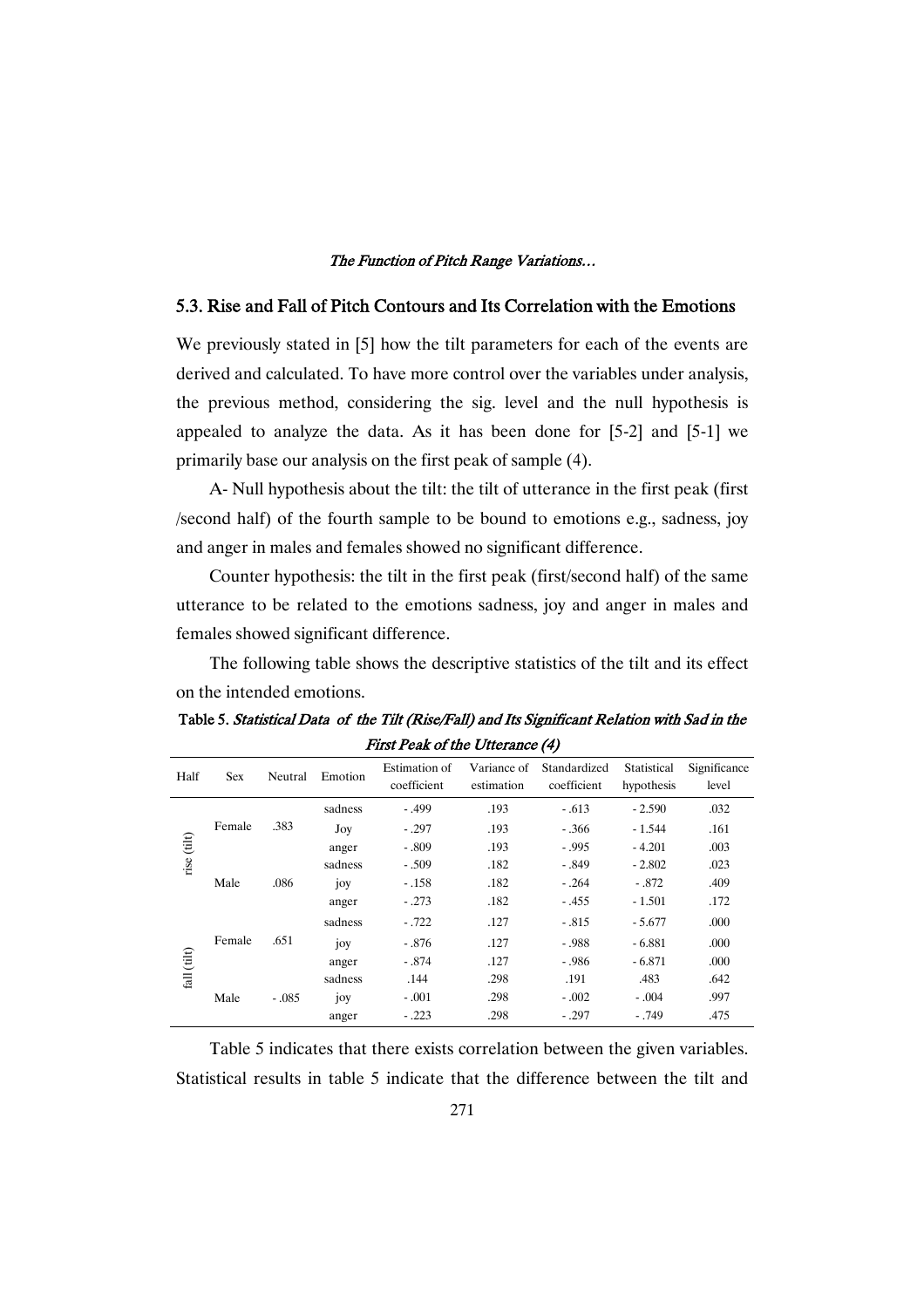### 5.3. Rise and Fall of Pitch Contours and Its Correlation with the Emotions

We previously stated in [5] how the tilt parameters for each of the events are derived and calculated. To have more control over the variables under analysis, the previous method, considering the sig. level and the null hypothesis is appealed to analyze the data. As it has been done for [5-2] and [5-1] we primarily base our analysis on the first peak of sample (4).

A- Null hypothesis about the tilt: the tilt of utterance in the first peak (first /second half) of the fourth sample to be bound to emotions e.g., sadness, joy and anger in males and females showed no significant difference.

Counter hypothesis: the tilt in the first peak (first/second half) of the same utterance to be related to the emotions sadness, joy and anger in males and females showed significant difference.

The following table shows the descriptive statistics of the tilt and its effect on the intended emotions.

Table 5. Statistical Data of the Tilt (Rise/Fall) and Its Significant Relation with Sad in the First Peak of the Utterance (4)

| Half                                          | <b>Sex</b> | Neutral | Emotion | Estimation of<br>coefficient | Variance of<br>estimation | Standardized<br>coefficient | Statistical<br>hypothesis | Significance<br>level |
|-----------------------------------------------|------------|---------|---------|------------------------------|---------------------------|-----------------------------|---------------------------|-----------------------|
|                                               |            |         | sadness | $-.499$                      | .193                      | $-.613$                     | $-2.590$                  | .032                  |
|                                               | Female     | .383    | Joy     | $-.297$                      | .193                      | $-.366$                     | $-1.544$                  | .161                  |
|                                               |            |         | anger   | $-.809$                      | .193                      | $-.995$                     | $-4.201$                  | .003                  |
| rise (tilt)                                   | Male       | .086    | sadness | $-.509$                      | .182                      | $-.849$                     | $-2.802$                  | .023                  |
|                                               |            |         | joy     | $-.158$                      | .182                      | $-.264$                     | $-.872$                   | .409                  |
|                                               |            |         | anger   | $-.273$                      | .182                      | $-.455$                     | $-1.501$                  | .172                  |
|                                               |            | .651    | sadness | $-.722$                      | .127                      | $-.815$                     | $-5.677$                  | .000                  |
|                                               | Female     |         | joy     | $-.876$                      | .127                      | - .988                      | $-6.881$                  | .000                  |
| $\operatorname{fall}\left(\text{tilt}\right)$ |            |         | anger   | $-.874$                      | .127                      | $-0.986$                    | $-6.871$                  | .000                  |
|                                               |            |         | sadness | .144                         | .298                      | .191                        | .483                      | .642                  |
|                                               | Male       | $-.085$ | joy     | $-.001$                      | .298                      | $-.002$                     | $-.004$                   | .997                  |
|                                               |            |         | anger   | $-.223$                      | .298                      | $-.297$                     | $-.749$                   | .475                  |

Table 5 indicates that there exists correlation between the given variables. Statistical results in table 5 indicate that the difference between the tilt and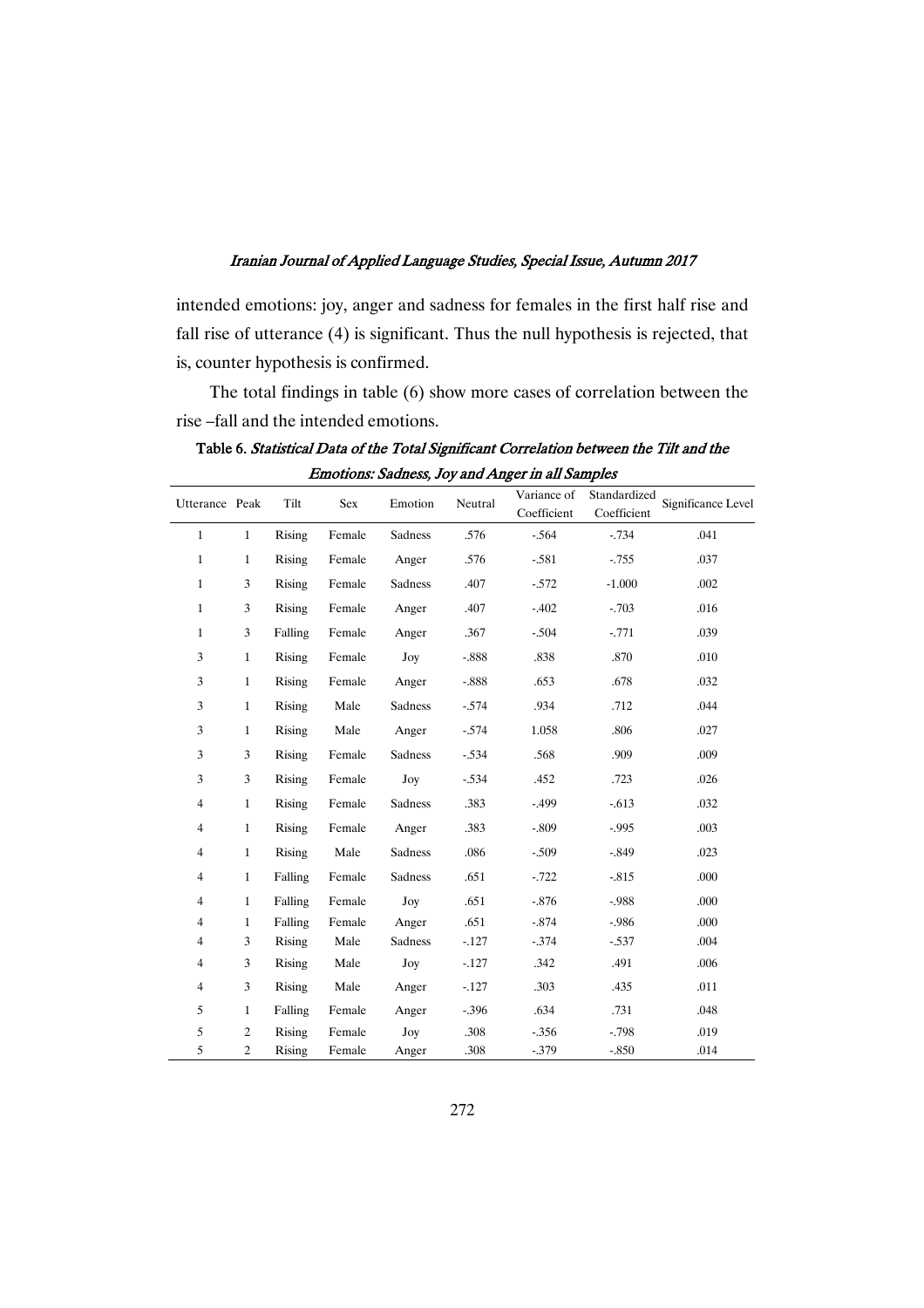intended emotions: joy, anger and sadness for females in the first half rise and fall rise of utterance (4) is significant. Thus the null hypothesis is rejected, that is, counter hypothesis is confirmed.

The total findings in table (6) show more cases of correlation between the rise –fall and the intended emotions.

| Utterance Peak |                | Tilt          | Sex    | Emotion | Neutral  | Variance of<br>Coefficient | Standardized<br>Coefficient | Significance Level |
|----------------|----------------|---------------|--------|---------|----------|----------------------------|-----------------------------|--------------------|
| $\mathbf{1}$   | $\mathbf{1}$   | Rising        | Female | Sadness | .576     | $-.564$                    | $-.734$                     | .041               |
| $\mathbf{1}$   | $\mathbf{1}$   | Rising        | Female | Anger   | .576     | $-.581$                    | $-0.755$                    | .037               |
| $\mathbf{1}$   | 3              | Rising        | Female | Sadness | .407     | $-572$                     | $-1.000$                    | .002               |
| $\mathbf{1}$   | 3              | Rising        | Female | Anger   | .407     | $-.402$                    | $-.703$                     | .016               |
| $\mathbf{1}$   | 3              | Falling       | Female | Anger   | .367     | $-504$                     | $-.771$                     | .039               |
| 3              | $\mathbf{1}$   | <b>Rising</b> | Female | Joy     | $-.888$  | .838                       | .870                        | .010               |
| 3              | $\mathbf{1}$   | <b>Rising</b> | Female | Anger   | $-.888$  | .653                       | .678                        | .032               |
| 3              | $\mathbf{1}$   | Rising        | Male   | Sadness | $-574$   | .934                       | .712                        | .044               |
| 3              | $\mathbf{1}$   | Rising        | Male   | Anger   | $-574$   | 1.058                      | .806                        | .027               |
| $\mathfrak{Z}$ | 3              | Rising        | Female | Sadness | $-.534$  | .568                       | .909                        | .009               |
| 3              | 3              | <b>Rising</b> | Female | Joy     | $-534$   | .452                       | .723                        | .026               |
| $\overline{4}$ | $\mathbf{1}$   | <b>Rising</b> | Female | Sadness | .383     | $-499$                     | $-.613$                     | .032               |
| $\overline{4}$ | $\mathbf{1}$   | Rising        | Female | Anger   | .383     | $-.809$                    | $-0.995$                    | .003               |
| $\overline{4}$ | $\mathbf{1}$   | Rising        | Male   | Sadness | .086     | $-.509$                    | $-.849$                     | .023               |
| $\overline{4}$ | $\mathbf{1}$   | Falling       | Female | Sadness | .651     | $-0.722$                   | $-.815$                     | .000               |
| $\overline{4}$ | $\mathbf{1}$   | Falling       | Female | Joy     | .651     | $-.876$                    | $-.988$                     | .000               |
| $\overline{4}$ | $\mathbf{1}$   | Falling       | Female | Anger   | .651     | $-.874$                    | $-.986$                     | .000               |
| $\overline{4}$ | 3              | Rising        | Male   | Sadness | $-127$   | $-0.374$                   | $-.537$                     | .004               |
| $\overline{4}$ | 3              | Rising        | Male   | Joy     | $-127$   | .342                       | .491                        | .006               |
| $\overline{4}$ | 3              | Rising        | Male   | Anger   | $-127$   | .303                       | .435                        | .011               |
| 5              | $\mathbf{1}$   | Falling       | Female | Anger   | $-0.396$ | .634                       | .731                        | .048               |
| 5              | $\overline{c}$ | Rising        | Female | Joy     | .308     | $-0.356$                   | $-.798$                     | .019               |
| 5              | $\overline{c}$ | Rising        | Female | Anger   | .308     | $-0.379$                   | $-.850$                     | .014               |

Table 6. Statistical Data of the Total Significant Correlation between the Tilt and the Emotions: Sadness, Joy and Anger in all Samples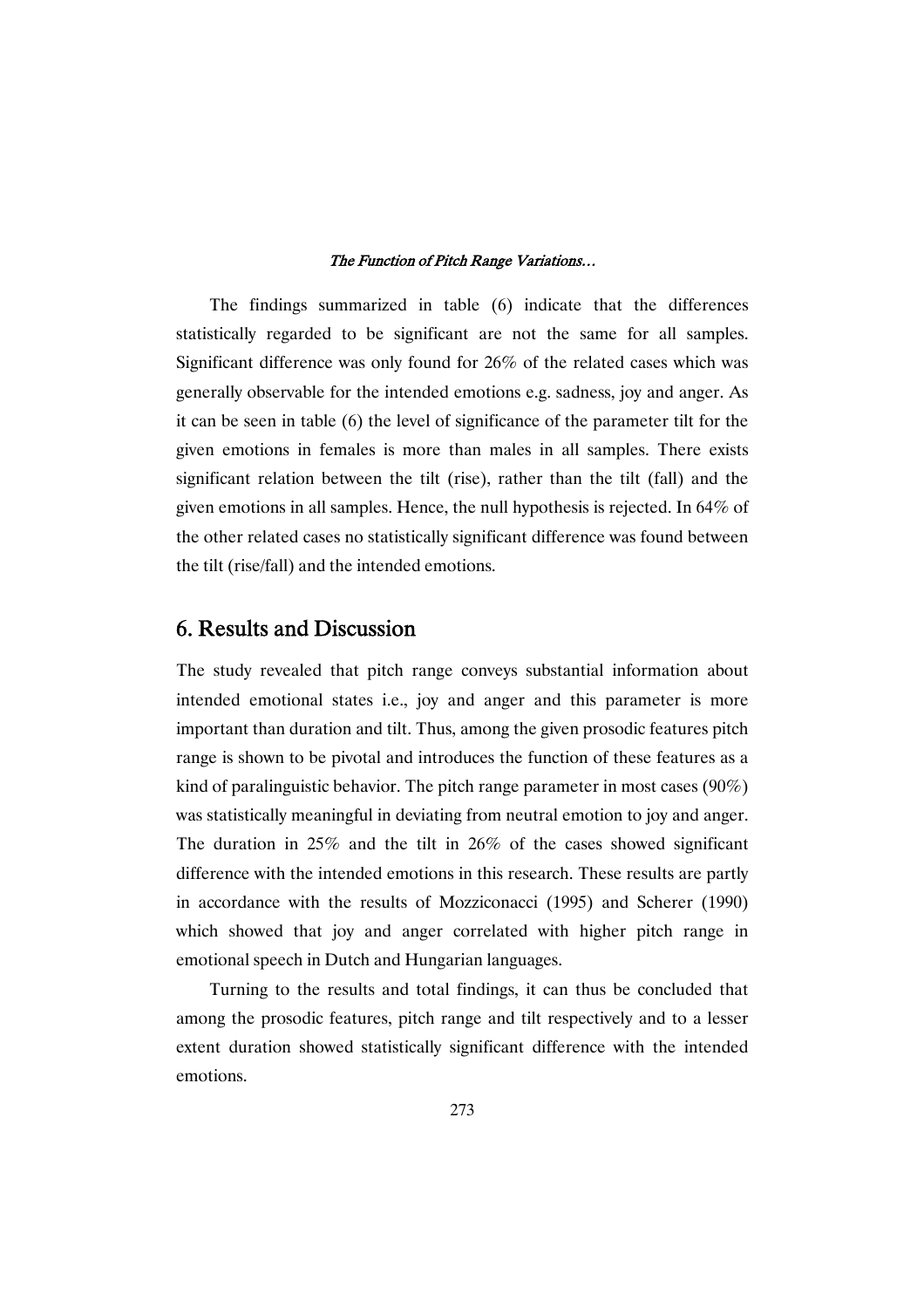The findings summarized in table (6) indicate that the differences statistically regarded to be significant are not the same for all samples. Significant difference was only found for 26% of the related cases which was generally observable for the intended emotions e.g. sadness, joy and anger. As it can be seen in table (6) the level of significance of the parameter tilt for the given emotions in females is more than males in all samples. There exists significant relation between the tilt (rise), rather than the tilt (fall) and the given emotions in all samples. Hence, the null hypothesis is rejected. In 64% of the other related cases no statistically significant difference was found between the tilt (rise/fall) and the intended emotions.

## 6. Results and Discussion

The study revealed that pitch range conveys substantial information about intended emotional states i.e., joy and anger and this parameter is more important than duration and tilt. Thus, among the given prosodic features pitch range is shown to be pivotal and introduces the function of these features as a kind of paralinguistic behavior. The pitch range parameter in most cases (90%) was statistically meaningful in deviating from neutral emotion to joy and anger. The duration in  $25\%$  and the tilt in  $26\%$  of the cases showed significant difference with the intended emotions in this research. These results are partly in accordance with the results of Mozziconacci (1995) and Scherer (1990) which showed that joy and anger correlated with higher pitch range in emotional speech in Dutch and Hungarian languages.

Turning to the results and total findings, it can thus be concluded that among the prosodic features, pitch range and tilt respectively and to a lesser extent duration showed statistically significant difference with the intended emotions.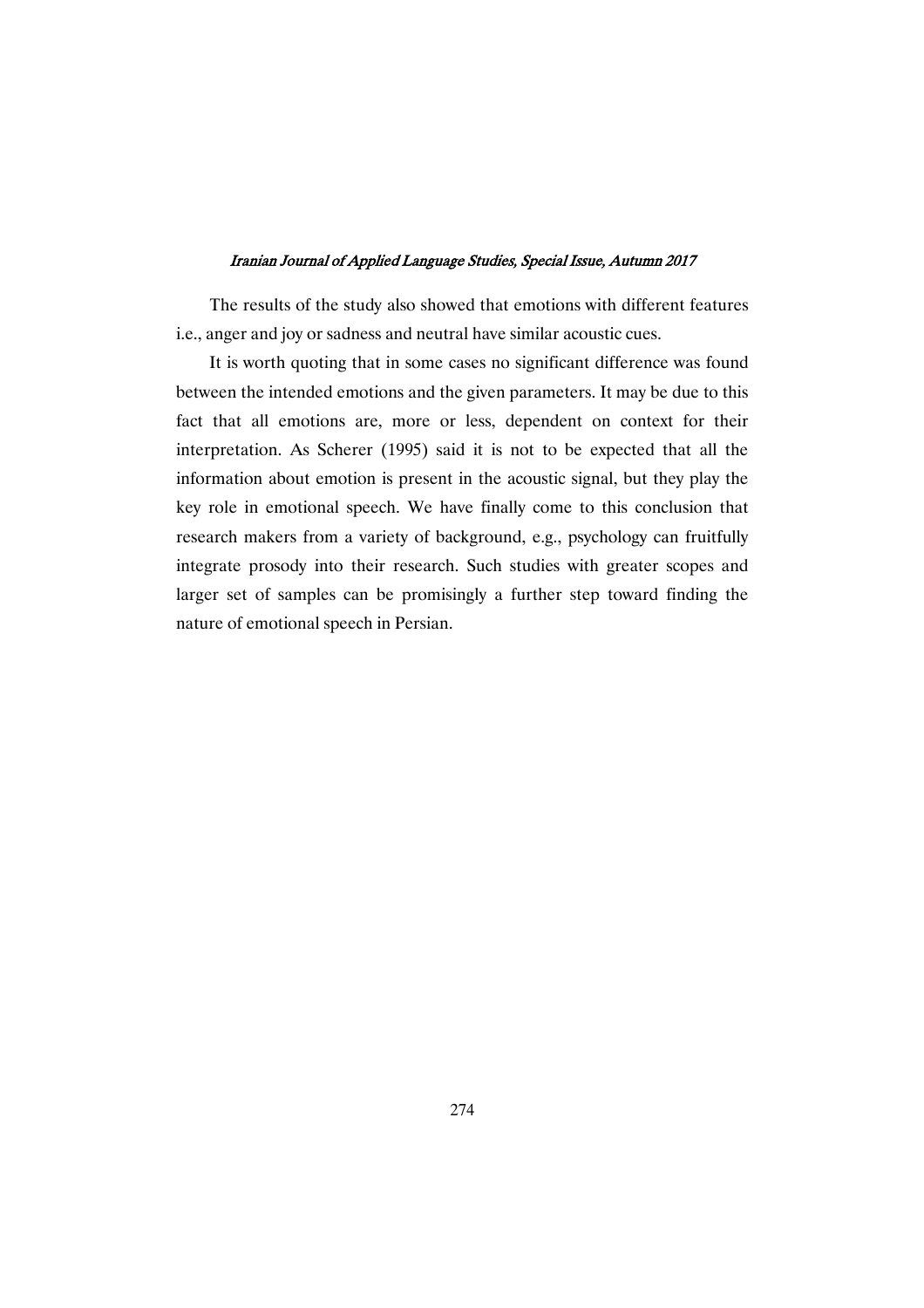The results of the study also showed that emotions with different features i.e., anger and joy or sadness and neutral have similar acoustic cues.

It is worth quoting that in some cases no significant difference was found between the intended emotions and the given parameters. It may be due to this fact that all emotions are, more or less, dependent on context for their interpretation. As Scherer (1995) said it is not to be expected that all the information about emotion is present in the acoustic signal, but they play the key role in emotional speech. We have finally come to this conclusion that research makers from a variety of background, e.g., psychology can fruitfully integrate prosody into their research. Such studies with greater scopes and larger set of samples can be promisingly a further step toward finding the nature of emotional speech in Persian.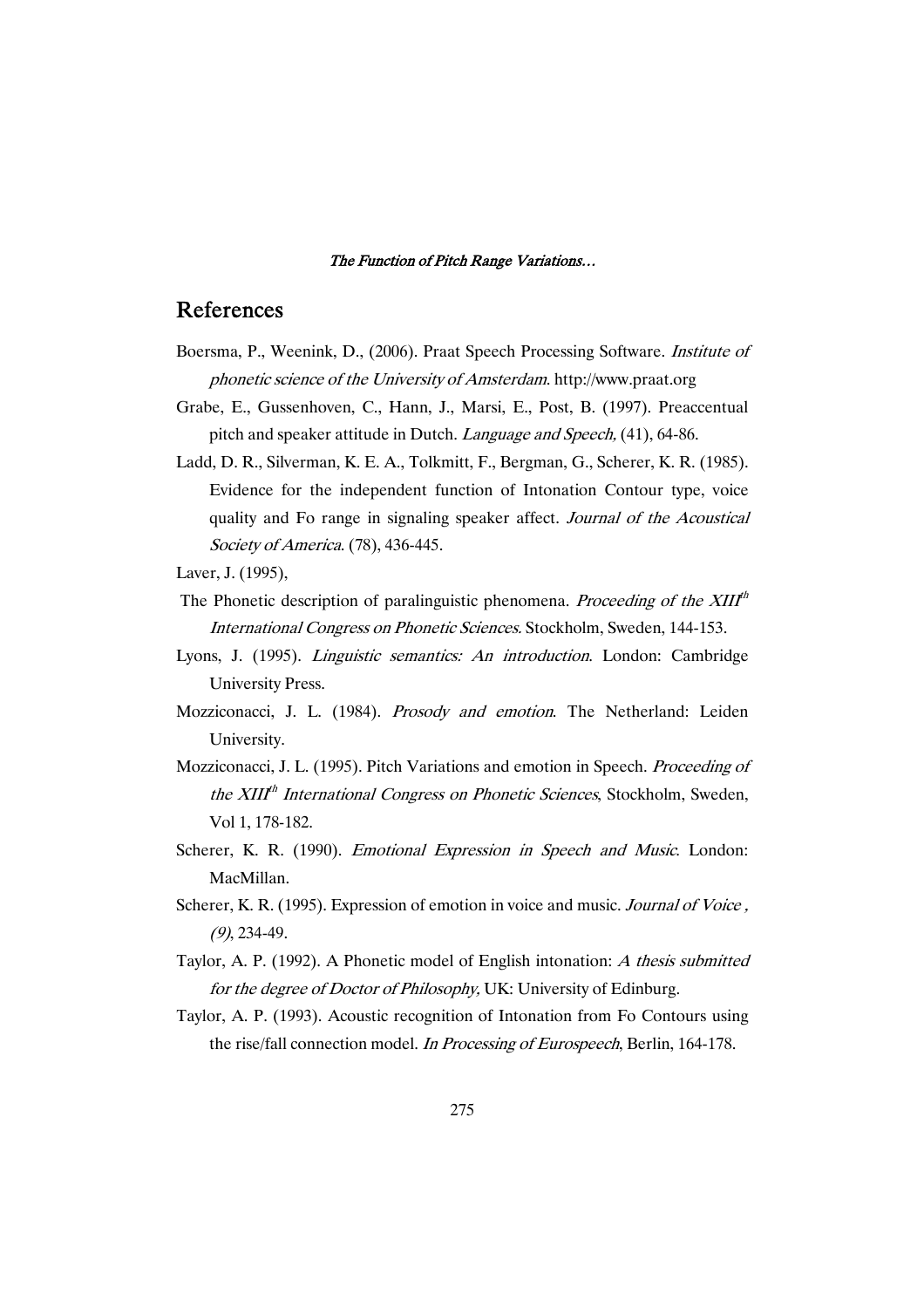# References

- Boersma, P., Weenink, D., (2006). Praat Speech Processing Software. Institute of phonetic science of the University of Amsterdam. http://www.praat.org
- Grabe, E., Gussenhoven, C., Hann, J., Marsi, E., Post, B. (1997). Preaccentual pitch and speaker attitude in Dutch. Language and Speech, (41), 64-86.
- Ladd, D. R., Silverman, K. E. A., Tolkmitt, F., Bergman, G., Scherer, K. R. (1985). Evidence for the independent function of Intonation Contour type, voice quality and Fo range in signaling speaker affect. Journal of the Acoustical Society of America. (78), 436-445.
- Laver, J. (1995),
- The Phonetic description of paralinguistic phenomena. Proceeding of the  $XIII<sup>th</sup>$ International Congress on Phonetic Sciences. Stockholm, Sweden, 144-153.
- Lyons, J. (1995). Linguistic semantics: An introduction. London: Cambridge University Press.
- Mozziconacci, J. L. (1984). Prosody and emotion. The Netherland: Leiden University.
- Mozziconacci, J. L. (1995). Pitch Variations and emotion in Speech. Proceeding of the XIII<sup>th</sup> International Congress on Phonetic Sciences, Stockholm, Sweden, Vol 1, 178-182.
- Scherer, K. R. (1990). *Emotional Expression in Speech and Music*. London: MacMillan.
- Scherer, K. R. (1995). Expression of emotion in voice and music. Journal of Voice, (9), 234-49.
- Taylor, A. P. (1992). A Phonetic model of English intonation: <sup>A</sup> thesis submitted for the degree of Doctor of Philosophy, UK: University of Edinburg.
- Taylor, A. P. (1993). Acoustic recognition of Intonation from Fo Contours using the rise/fall connection model. In Processing of Eurospeech, Berlin, 164-178.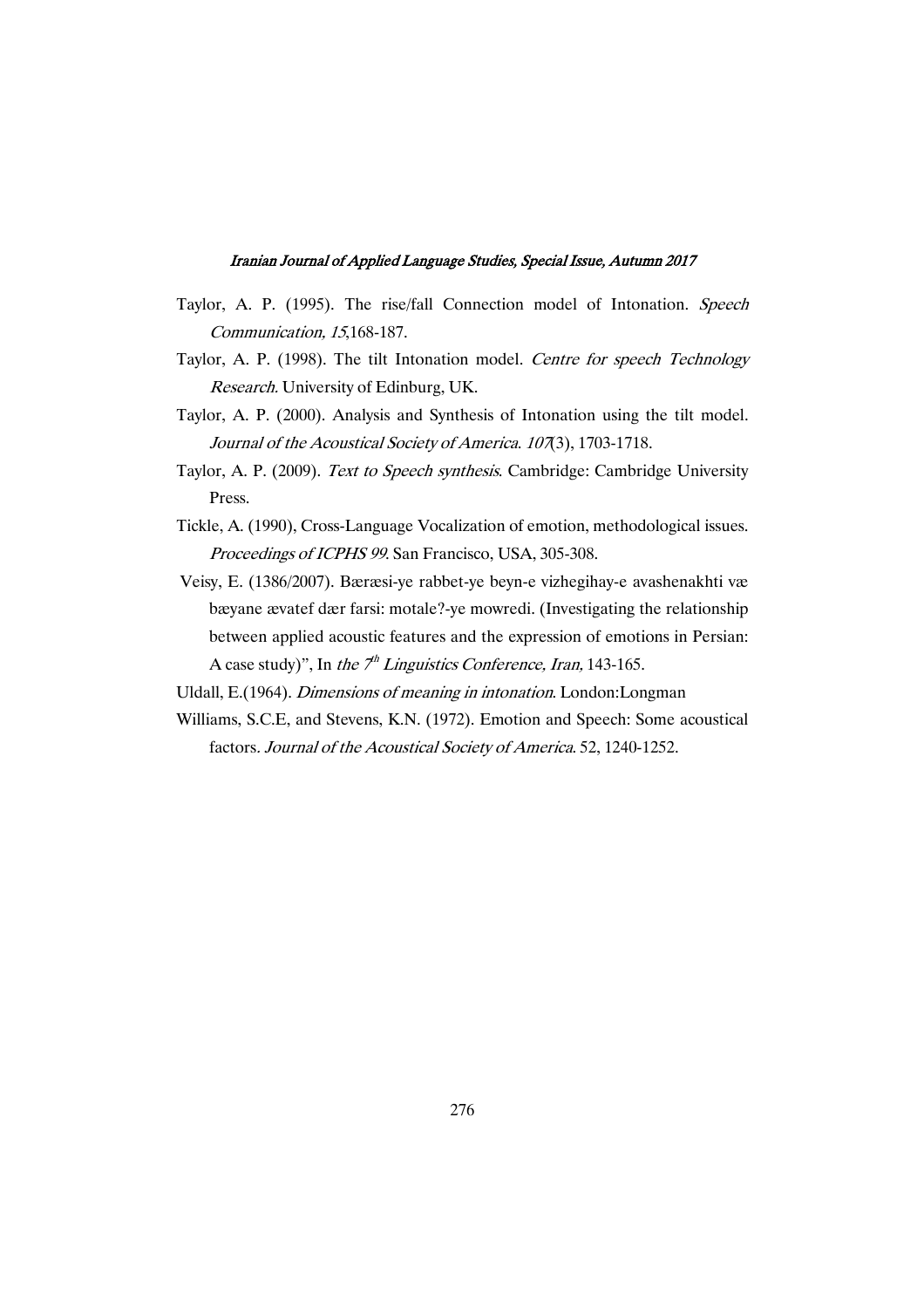- Taylor, A. P. (1995). The rise/fall Connection model of Intonation. Speech Communication, <sup>15</sup>,168-187.
- Taylor, A. P. (1998). The tilt Intonation model. Centre for speech Technology Research. University of Edinburg, UK.
- Taylor, A. P. (2000). Analysis and Synthesis of Intonation using the tilt model. Journal of the Acoustical Society of America. 107(3), 1703-1718.
- Taylor, A. P. (2009). Text to Speech synthesis. Cambridge: Cambridge University Press.
- Tickle, A. (1990), Cross-Language Vocalization of emotion, methodological issues. Proceedings of ICPHS <sup>99</sup>. San Francisco, USA, 305-308.
- Veisy, E. (1386/2007). Bæræsi-ye rabbet-ye beyn-e vizhegihay-e avashenakhti væ bæyane ævatef dær farsi: motale?-ye mowredi. (Investigating the relationship between applied acoustic features and the expression of emotions in Persian: A case study)", In the  $7^h$  Linguistics Conference, Iran, 143-165.
- Uldall, E.(1964). Dimensions of meaning in intonation. London:Longman
- Williams, S.C.E, and Stevens, K.N. (1972). Emotion and Speech: Some acoustical factors. Journal of the Acoustical Society of America. 52, 1240-1252.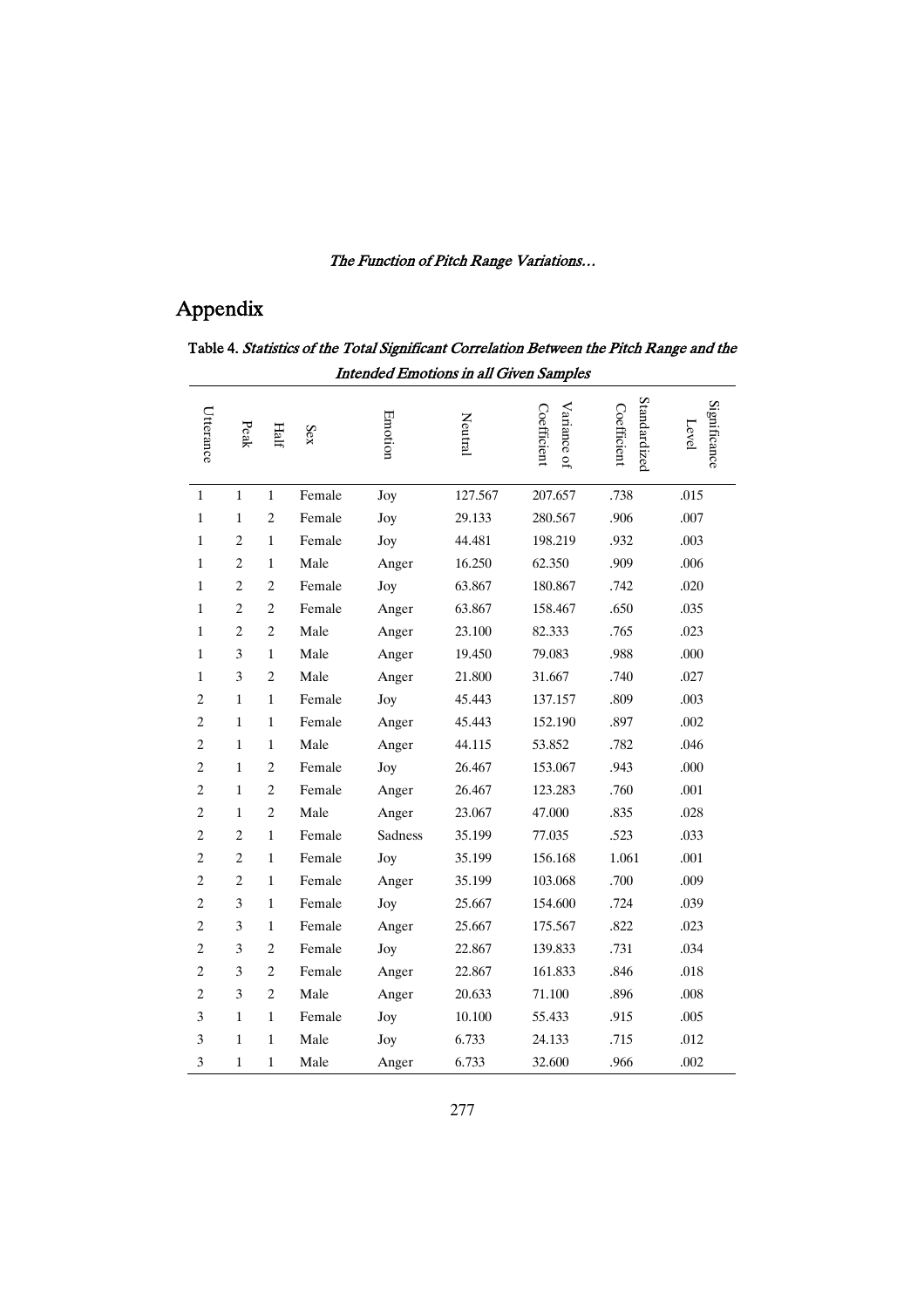# Appendix

|                | Intended Emotions in all Given Samples |                |        |         |         |                            |                             |                       |  |  |  |
|----------------|----------------------------------------|----------------|--------|---------|---------|----------------------------|-----------------------------|-----------------------|--|--|--|
| Utterance      | Peak                                   | Half           | Sex    | Emotion | Neutral | Variance of<br>Coefficient | Standardized<br>Coefficient | Significance<br>Level |  |  |  |
| $\mathbf{1}$   | $\mathbf{1}$                           | $\mathbf{1}$   | Female | Joy     | 127.567 | 207.657                    | .738                        | .015                  |  |  |  |
| $\mathbf{1}$   | $\mathbf{1}$                           | $\overline{c}$ | Female | Joy     | 29.133  | 280.567                    | .906                        | .007                  |  |  |  |
| 1              | $\overline{c}$                         | $\mathbf{1}$   | Female | Joy     | 44.481  | 198.219                    | .932                        | .003                  |  |  |  |
| $\mathbf{1}$   | $\overline{2}$                         | $\mathbf{1}$   | Male   | Anger   | 16.250  | 62.350                     | .909                        | .006                  |  |  |  |
| $\mathbf{1}$   | $\overline{c}$                         | $\overline{c}$ | Female | Joy     | 63.867  | 180.867                    | .742                        | .020                  |  |  |  |
| $\mathbf{1}$   | $\overline{c}$                         | $\overline{c}$ | Female | Anger   | 63.867  | 158.467                    | .650                        | .035                  |  |  |  |
| $\mathbf{1}$   | $\overline{c}$                         | $\overline{c}$ | Male   | Anger   | 23.100  | 82.333                     | .765                        | .023                  |  |  |  |
| 1              | 3                                      | $\,1\,$        | Male   | Anger   | 19.450  | 79.083                     | .988                        | .000                  |  |  |  |
| $\mathbf{1}$   | 3                                      | $\overline{c}$ | Male   | Anger   | 21.800  | 31.667                     | .740                        | .027                  |  |  |  |
| $\overline{c}$ | 1                                      | $\mathbf{1}$   | Female | Joy     | 45.443  | 137.157                    | .809                        | .003                  |  |  |  |
| $\overline{c}$ | $\mathbf{1}$                           | $\mathbf{1}$   | Female | Anger   | 45.443  | 152.190                    | .897                        | .002                  |  |  |  |
| $\overline{c}$ | $\mathbf{1}$                           | $\mathbf{1}$   | Male   | Anger   | 44.115  | 53.852                     | .782                        | .046                  |  |  |  |
| $\overline{c}$ | $\mathbf{1}$                           | $\overline{c}$ | Female | Joy     | 26.467  | 153.067                    | .943                        | .000                  |  |  |  |
| $\overline{c}$ | $\mathbf{1}$                           | $\overline{c}$ | Female | Anger   | 26.467  | 123.283                    | .760                        | .001                  |  |  |  |
| $\overline{c}$ | 1                                      | $\overline{c}$ | Male   | Anger   | 23.067  | 47.000                     | .835                        | .028                  |  |  |  |
| $\overline{c}$ | $\overline{c}$                         | $\mathbf{1}$   | Female | Sadness | 35.199  | 77.035                     | .523                        | .033                  |  |  |  |
| $\mathbf 2$    | $\overline{c}$                         | $\mathbf{1}$   | Female | Joy     | 35.199  | 156.168                    | 1.061                       | .001                  |  |  |  |
| $\overline{c}$ | $\overline{c}$                         | $\mathbf{1}$   | Female | Anger   | 35.199  | 103.068                    | .700                        | .009                  |  |  |  |
| $\overline{c}$ | 3                                      | $\mathbf{1}$   | Female | Joy     | 25.667  | 154.600                    | .724                        | .039                  |  |  |  |
| $\overline{c}$ | 3                                      | $\,1\,$        | Female | Anger   | 25.667  | 175.567                    | .822                        | .023                  |  |  |  |
| $\overline{c}$ | 3                                      | $\overline{c}$ | Female | Joy     | 22.867  | 139.833                    | .731                        | .034                  |  |  |  |
| $\overline{c}$ | 3                                      | $\overline{c}$ | Female | Anger   | 22.867  | 161.833                    | .846                        | .018                  |  |  |  |
| $\overline{c}$ | 3                                      | $\overline{c}$ | Male   | Anger   | 20.633  | 71.100                     | .896                        | .008                  |  |  |  |
| $\mathfrak{Z}$ | $\mathbf{1}$                           | $\mathbf{1}$   | Female | Joy     | 10.100  | 55.433                     | .915                        | .005                  |  |  |  |
| 3              | $\mathbf{1}$                           | $\mathbf{1}$   | Male   | Joy     | 6.733   | 24.133                     | .715                        | .012                  |  |  |  |
| 3              | 1                                      | $\mathbf{1}$   | Male   | Anger   | 6.733   | 32.600                     | .966                        | .002                  |  |  |  |

### Table 4. *Statistics of the Total Significant Correlation Between the Pitch Range and the* Intended Emotions in all Given Samples